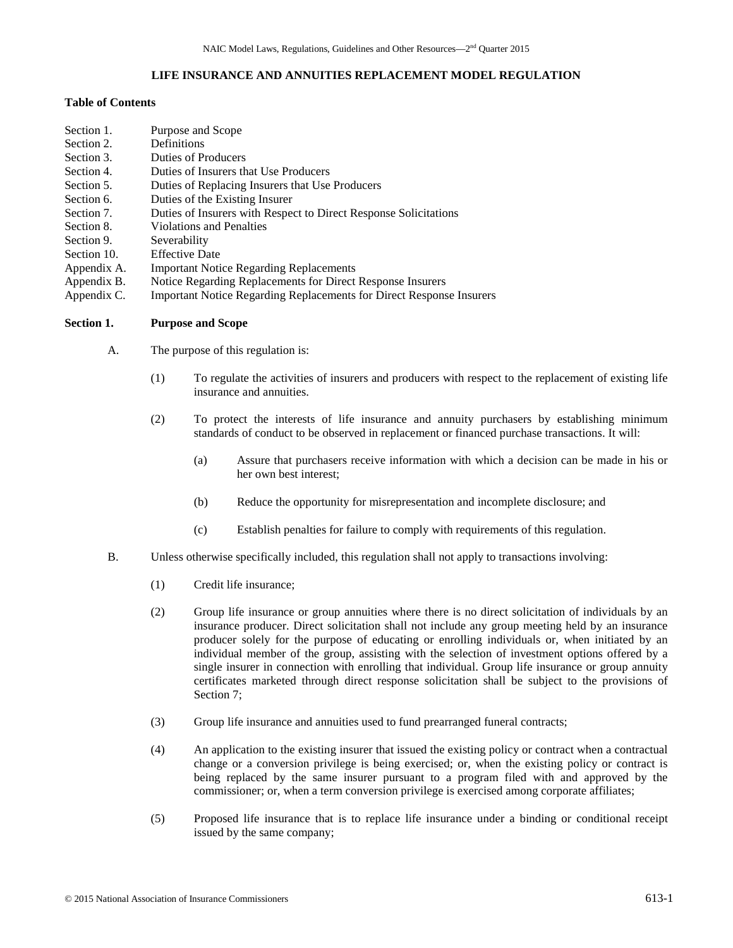# **Table of Contents**

| Section 1.  | Purpose and Scope                                                           |
|-------------|-----------------------------------------------------------------------------|
| Section 2.  | Definitions                                                                 |
| Section 3.  | Duties of Producers                                                         |
| Section 4.  | Duties of Insurers that Use Producers                                       |
| Section 5.  | Duties of Replacing Insurers that Use Producers                             |
| Section 6.  | Duties of the Existing Insurer                                              |
| Section 7.  | Duties of Insurers with Respect to Direct Response Solicitations            |
| Section 8.  | Violations and Penalties                                                    |
| Section 9.  | Severability                                                                |
| Section 10. | <b>Effective Date</b>                                                       |
| Appendix A. | <b>Important Notice Regarding Replacements</b>                              |
| Appendix B. | Notice Regarding Replacements for Direct Response Insurers                  |
| Appendix C. | <b>Important Notice Regarding Replacements for Direct Response Insurers</b> |

### **Section 1. Purpose and Scope**

- A. The purpose of this regulation is:
	- (1) To regulate the activities of insurers and producers with respect to the replacement of existing life insurance and annuities.
	- (2) To protect the interests of life insurance and annuity purchasers by establishing minimum standards of conduct to be observed in replacement or financed purchase transactions. It will:
		- (a) Assure that purchasers receive information with which a decision can be made in his or her own best interest;
		- (b) Reduce the opportunity for misrepresentation and incomplete disclosure; and
		- (c) Establish penalties for failure to comply with requirements of this regulation.
- B. Unless otherwise specifically included, this regulation shall not apply to transactions involving:
	- (1) Credit life insurance;
	- (2) Group life insurance or group annuities where there is no direct solicitation of individuals by an insurance producer. Direct solicitation shall not include any group meeting held by an insurance producer solely for the purpose of educating or enrolling individuals or, when initiated by an individual member of the group, assisting with the selection of investment options offered by a single insurer in connection with enrolling that individual. Group life insurance or group annuity certificates marketed through direct response solicitation shall be subject to the provisions of Section 7;
	- (3) Group life insurance and annuities used to fund prearranged funeral contracts;
	- (4) An application to the existing insurer that issued the existing policy or contract when a contractual change or a conversion privilege is being exercised; or, when the existing policy or contract is being replaced by the same insurer pursuant to a program filed with and approved by the commissioner; or, when a term conversion privilege is exercised among corporate affiliates;
	- (5) Proposed life insurance that is to replace life insurance under a binding or conditional receipt issued by the same company;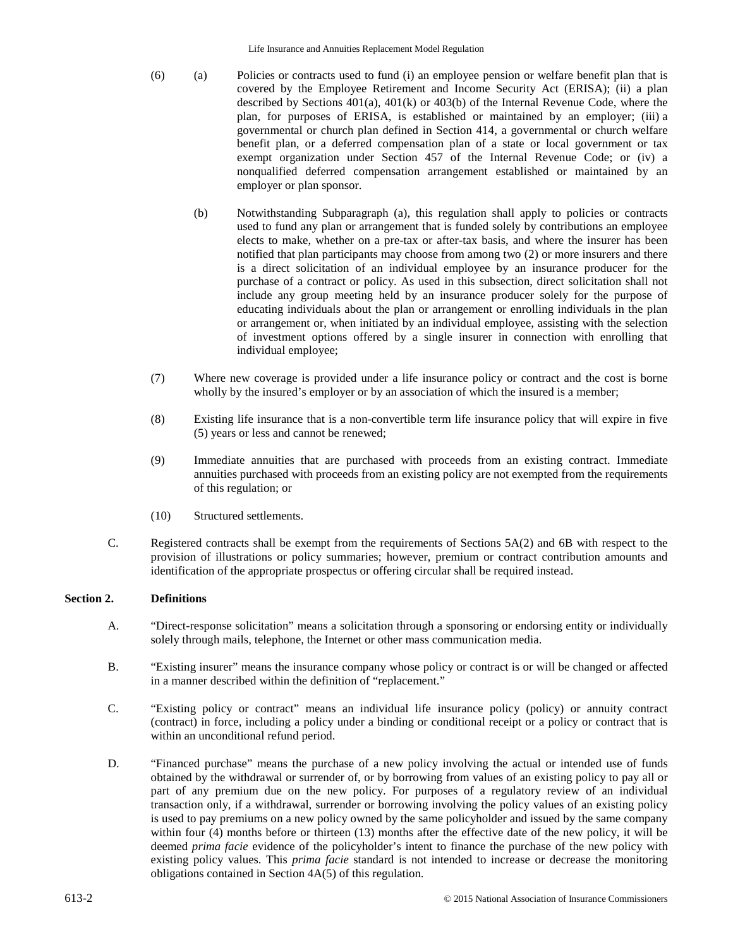- (6) (a) Policies or contracts used to fund (i) an employee pension or welfare benefit plan that is covered by the Employee Retirement and Income Security Act (ERISA); (ii) a plan described by Sections 401(a), 401(k) or 403(b) of the Internal Revenue Code, where the plan, for purposes of ERISA, is established or maintained by an employer; (iii) a governmental or church plan defined in Section 414, a governmental or church welfare benefit plan, or a deferred compensation plan of a state or local government or tax exempt organization under Section 457 of the Internal Revenue Code; or (iv) a nonqualified deferred compensation arrangement established or maintained by an employer or plan sponsor.
	- (b) Notwithstanding Subparagraph (a), this regulation shall apply to policies or contracts used to fund any plan or arrangement that is funded solely by contributions an employee elects to make, whether on a pre-tax or after-tax basis, and where the insurer has been notified that plan participants may choose from among two (2) or more insurers and there is a direct solicitation of an individual employee by an insurance producer for the purchase of a contract or policy. As used in this subsection, direct solicitation shall not include any group meeting held by an insurance producer solely for the purpose of educating individuals about the plan or arrangement or enrolling individuals in the plan or arrangement or, when initiated by an individual employee, assisting with the selection of investment options offered by a single insurer in connection with enrolling that individual employee;
- (7) Where new coverage is provided under a life insurance policy or contract and the cost is borne wholly by the insured's employer or by an association of which the insured is a member;
- (8) Existing life insurance that is a non-convertible term life insurance policy that will expire in five (5) years or less and cannot be renewed;
- (9) Immediate annuities that are purchased with proceeds from an existing contract. Immediate annuities purchased with proceeds from an existing policy are not exempted from the requirements of this regulation; or
- (10) Structured settlements.
- C. Registered contracts shall be exempt from the requirements of Sections 5A(2) and 6B with respect to the provision of illustrations or policy summaries; however, premium or contract contribution amounts and identification of the appropriate prospectus or offering circular shall be required instead.

# **Section 2. Definitions**

- A. "Direct-response solicitation" means a solicitation through a sponsoring or endorsing entity or individually solely through mails, telephone, the Internet or other mass communication media.
- B. "Existing insurer" means the insurance company whose policy or contract is or will be changed or affected in a manner described within the definition of "replacement."
- C. "Existing policy or contract" means an individual life insurance policy (policy) or annuity contract (contract) in force, including a policy under a binding or conditional receipt or a policy or contract that is within an unconditional refund period.
- D. "Financed purchase" means the purchase of a new policy involving the actual or intended use of funds obtained by the withdrawal or surrender of, or by borrowing from values of an existing policy to pay all or part of any premium due on the new policy. For purposes of a regulatory review of an individual transaction only, if a withdrawal, surrender or borrowing involving the policy values of an existing policy is used to pay premiums on a new policy owned by the same policyholder and issued by the same company within four (4) months before or thirteen (13) months after the effective date of the new policy, it will be deemed *prima facie* evidence of the policyholder's intent to finance the purchase of the new policy with existing policy values. This *prima facie* standard is not intended to increase or decrease the monitoring obligations contained in Section 4A(5) of this regulation.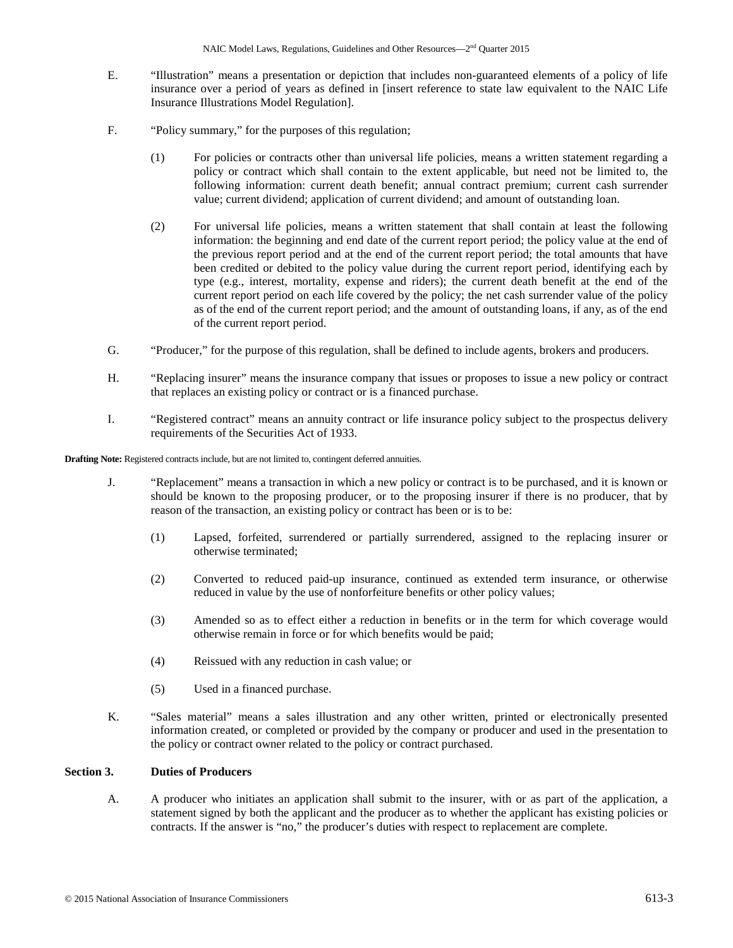- E. "Illustration" means a presentation or depiction that includes non-guaranteed elements of a policy of life insurance over a period of years as defined in [insert reference to state law equivalent to the NAIC Life Insurance Illustrations Model Regulation].
- F. "Policy summary," for the purposes of this regulation;
	- (1) For policies or contracts other than universal life policies, means a written statement regarding a policy or contract which shall contain to the extent applicable, but need not be limited to, the following information: current death benefit; annual contract premium; current cash surrender value; current dividend; application of current dividend; and amount of outstanding loan.
	- (2) For universal life policies, means a written statement that shall contain at least the following information: the beginning and end date of the current report period; the policy value at the end of the previous report period and at the end of the current report period; the total amounts that have been credited or debited to the policy value during the current report period, identifying each by type (e.g., interest, mortality, expense and riders); the current death benefit at the end of the current report period on each life covered by the policy; the net cash surrender value of the policy as of the end of the current report period; and the amount of outstanding loans, if any, as of the end of the current report period.
- G. "Producer," for the purpose of this regulation, shall be defined to include agents, brokers and producers.
- H. "Replacing insurer" means the insurance company that issues or proposes to issue a new policy or contract that replaces an existing policy or contract or is a financed purchase.
- I. "Registered contract" means an annuity contract or life insurance policy subject to the prospectus delivery requirements of the Securities Act of 1933.

**Drafting Note:** Registered contracts include, but are not limited to, contingent deferred annuities.

- J. "Replacement" means a transaction in which a new policy or contract is to be purchased, and it is known or should be known to the proposing producer, or to the proposing insurer if there is no producer, that by reason of the transaction, an existing policy or contract has been or is to be:
	- (1) Lapsed, forfeited, surrendered or partially surrendered, assigned to the replacing insurer or otherwise terminated;
	- (2) Converted to reduced paid-up insurance, continued as extended term insurance, or otherwise reduced in value by the use of nonforfeiture benefits or other policy values;
	- (3) Amended so as to effect either a reduction in benefits or in the term for which coverage would otherwise remain in force or for which benefits would be paid;
	- (4) Reissued with any reduction in cash value; or
	- (5) Used in a financed purchase.
- K. "Sales material" means a sales illustration and any other written, printed or electronically presented information created, or completed or provided by the company or producer and used in the presentation to the policy or contract owner related to the policy or contract purchased.

## **Section 3. Duties of Producers**

A. A producer who initiates an application shall submit to the insurer, with or as part of the application, a statement signed by both the applicant and the producer as to whether the applicant has existing policies or contracts. If the answer is "no," the producer's duties with respect to replacement are complete.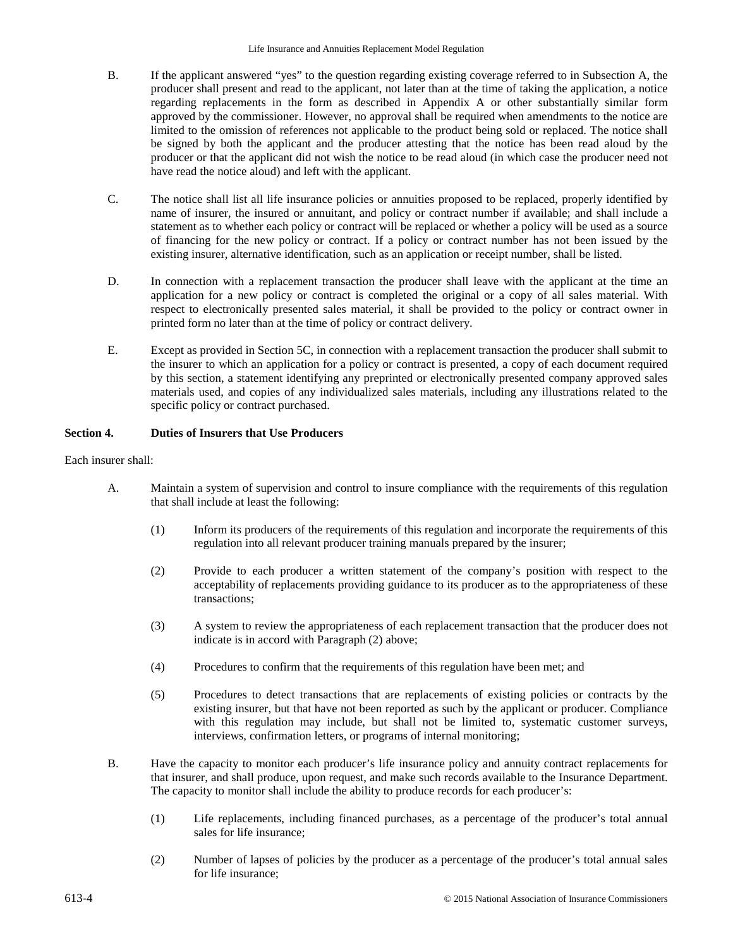- B. If the applicant answered "yes" to the question regarding existing coverage referred to in Subsection A, the producer shall present and read to the applicant, not later than at the time of taking the application, a notice regarding replacements in the form as described in Appendix A or other substantially similar form approved by the commissioner. However, no approval shall be required when amendments to the notice are limited to the omission of references not applicable to the product being sold or replaced. The notice shall be signed by both the applicant and the producer attesting that the notice has been read aloud by the producer or that the applicant did not wish the notice to be read aloud (in which case the producer need not have read the notice aloud) and left with the applicant.
- C. The notice shall list all life insurance policies or annuities proposed to be replaced, properly identified by name of insurer, the insured or annuitant, and policy or contract number if available; and shall include a statement as to whether each policy or contract will be replaced or whether a policy will be used as a source of financing for the new policy or contract. If a policy or contract number has not been issued by the existing insurer, alternative identification, such as an application or receipt number, shall be listed.
- D. In connection with a replacement transaction the producer shall leave with the applicant at the time an application for a new policy or contract is completed the original or a copy of all sales material. With respect to electronically presented sales material, it shall be provided to the policy or contract owner in printed form no later than at the time of policy or contract delivery.
- E. Except as provided in Section 5C, in connection with a replacement transaction the producer shall submit to the insurer to which an application for a policy or contract is presented, a copy of each document required by this section, a statement identifying any preprinted or electronically presented company approved sales materials used, and copies of any individualized sales materials, including any illustrations related to the specific policy or contract purchased.

# **Section 4. Duties of Insurers that Use Producers**

Each insurer shall:

- A. Maintain a system of supervision and control to insure compliance with the requirements of this regulation that shall include at least the following:
	- (1) Inform its producers of the requirements of this regulation and incorporate the requirements of this regulation into all relevant producer training manuals prepared by the insurer;
	- (2) Provide to each producer a written statement of the company's position with respect to the acceptability of replacements providing guidance to its producer as to the appropriateness of these transactions;
	- (3) A system to review the appropriateness of each replacement transaction that the producer does not indicate is in accord with Paragraph (2) above;
	- (4) Procedures to confirm that the requirements of this regulation have been met; and
	- (5) Procedures to detect transactions that are replacements of existing policies or contracts by the existing insurer, but that have not been reported as such by the applicant or producer. Compliance with this regulation may include, but shall not be limited to, systematic customer surveys, interviews, confirmation letters, or programs of internal monitoring;
- B. Have the capacity to monitor each producer's life insurance policy and annuity contract replacements for that insurer, and shall produce, upon request, and make such records available to the Insurance Department. The capacity to monitor shall include the ability to produce records for each producer's:
	- (1) Life replacements, including financed purchases, as a percentage of the producer's total annual sales for life insurance;
	- (2) Number of lapses of policies by the producer as a percentage of the producer's total annual sales for life insurance;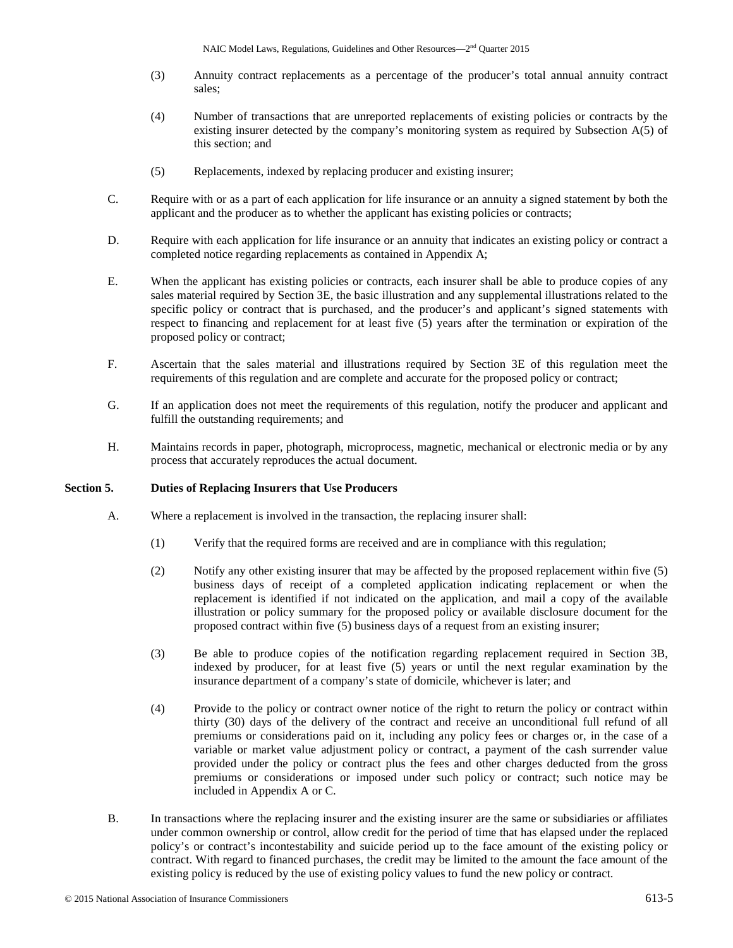NAIC Model Laws, Regulations, Guidelines and Other Resources—2<sup>nd</sup> Quarter 2015

- (3) Annuity contract replacements as a percentage of the producer's total annual annuity contract sales;
- (4) Number of transactions that are unreported replacements of existing policies or contracts by the existing insurer detected by the company's monitoring system as required by Subsection A(5) of this section; and
- (5) Replacements, indexed by replacing producer and existing insurer;
- C. Require with or as a part of each application for life insurance or an annuity a signed statement by both the applicant and the producer as to whether the applicant has existing policies or contracts;
- D. Require with each application for life insurance or an annuity that indicates an existing policy or contract a completed notice regarding replacements as contained in Appendix A;
- E. When the applicant has existing policies or contracts, each insurer shall be able to produce copies of any sales material required by Section 3E, the basic illustration and any supplemental illustrations related to the specific policy or contract that is purchased, and the producer's and applicant's signed statements with respect to financing and replacement for at least five (5) years after the termination or expiration of the proposed policy or contract;
- F. Ascertain that the sales material and illustrations required by Section 3E of this regulation meet the requirements of this regulation and are complete and accurate for the proposed policy or contract;
- G. If an application does not meet the requirements of this regulation, notify the producer and applicant and fulfill the outstanding requirements; and
- H. Maintains records in paper, photograph, microprocess, magnetic, mechanical or electronic media or by any process that accurately reproduces the actual document.

# **Section 5. Duties of Replacing Insurers that Use Producers**

- A. Where a replacement is involved in the transaction, the replacing insurer shall:
	- (1) Verify that the required forms are received and are in compliance with this regulation;
	- (2) Notify any other existing insurer that may be affected by the proposed replacement within five (5) business days of receipt of a completed application indicating replacement or when the replacement is identified if not indicated on the application, and mail a copy of the available illustration or policy summary for the proposed policy or available disclosure document for the proposed contract within five (5) business days of a request from an existing insurer;
	- (3) Be able to produce copies of the notification regarding replacement required in Section 3B, indexed by producer, for at least five (5) years or until the next regular examination by the insurance department of a company's state of domicile, whichever is later; and
	- (4) Provide to the policy or contract owner notice of the right to return the policy or contract within thirty (30) days of the delivery of the contract and receive an unconditional full refund of all premiums or considerations paid on it, including any policy fees or charges or, in the case of a variable or market value adjustment policy or contract, a payment of the cash surrender value provided under the policy or contract plus the fees and other charges deducted from the gross premiums or considerations or imposed under such policy or contract; such notice may be included in Appendix A or C.
- B. In transactions where the replacing insurer and the existing insurer are the same or subsidiaries or affiliates under common ownership or control, allow credit for the period of time that has elapsed under the replaced policy's or contract's incontestability and suicide period up to the face amount of the existing policy or contract. With regard to financed purchases, the credit may be limited to the amount the face amount of the existing policy is reduced by the use of existing policy values to fund the new policy or contract.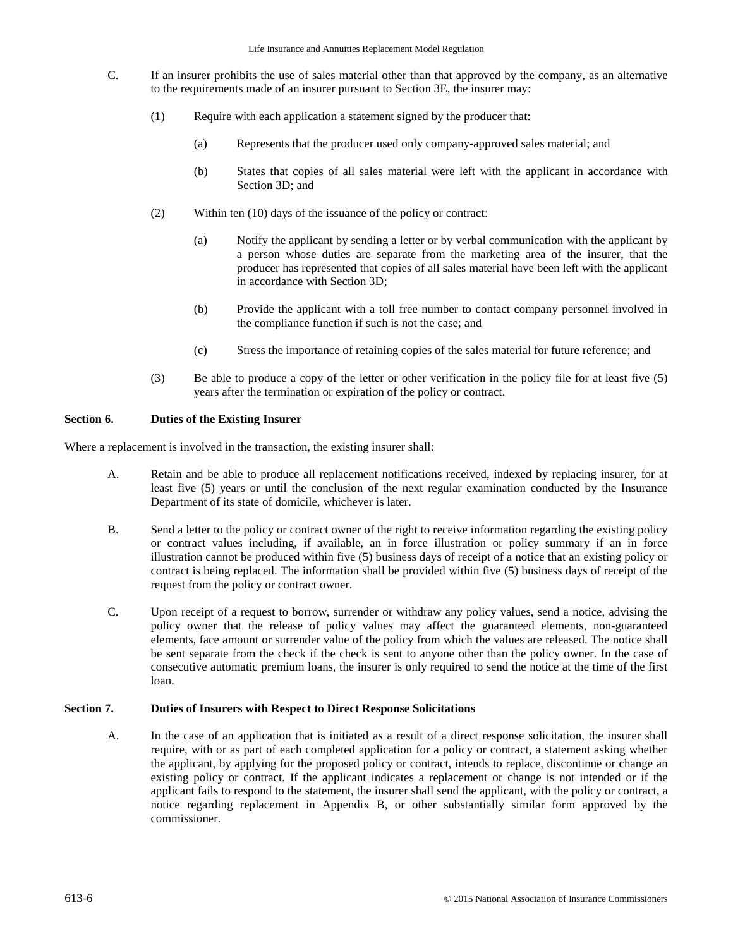- C. If an insurer prohibits the use of sales material other than that approved by the company, as an alternative to the requirements made of an insurer pursuant to Section 3E, the insurer may:
	- (1) Require with each application a statement signed by the producer that:
		- (a) Represents that the producer used only company-approved sales material; and
		- (b) States that copies of all sales material were left with the applicant in accordance with Section 3D; and
	- (2) Within ten (10) days of the issuance of the policy or contract:
		- (a) Notify the applicant by sending a letter or by verbal communication with the applicant by a person whose duties are separate from the marketing area of the insurer, that the producer has represented that copies of all sales material have been left with the applicant in accordance with Section 3D;
		- (b) Provide the applicant with a toll free number to contact company personnel involved in the compliance function if such is not the case; and
		- (c) Stress the importance of retaining copies of the sales material for future reference; and
	- (3) Be able to produce a copy of the letter or other verification in the policy file for at least five (5) years after the termination or expiration of the policy or contract.

### **Section 6. Duties of the Existing Insurer**

Where a replacement is involved in the transaction, the existing insurer shall:

- A. Retain and be able to produce all replacement notifications received, indexed by replacing insurer, for at least five (5) years or until the conclusion of the next regular examination conducted by the Insurance Department of its state of domicile, whichever is later.
- B. Send a letter to the policy or contract owner of the right to receive information regarding the existing policy or contract values including, if available, an in force illustration or policy summary if an in force illustration cannot be produced within five (5) business days of receipt of a notice that an existing policy or contract is being replaced. The information shall be provided within five (5) business days of receipt of the request from the policy or contract owner.
- C. Upon receipt of a request to borrow, surrender or withdraw any policy values, send a notice, advising the policy owner that the release of policy values may affect the guaranteed elements, non-guaranteed elements, face amount or surrender value of the policy from which the values are released. The notice shall be sent separate from the check if the check is sent to anyone other than the policy owner. In the case of consecutive automatic premium loans, the insurer is only required to send the notice at the time of the first loan.

## **Section 7. Duties of Insurers with Respect to Direct Response Solicitations**

A. In the case of an application that is initiated as a result of a direct response solicitation, the insurer shall require, with or as part of each completed application for a policy or contract, a statement asking whether the applicant, by applying for the proposed policy or contract, intends to replace, discontinue or change an existing policy or contract. If the applicant indicates a replacement or change is not intended or if the applicant fails to respond to the statement, the insurer shall send the applicant, with the policy or contract, a notice regarding replacement in Appendix B, or other substantially similar form approved by the commissioner.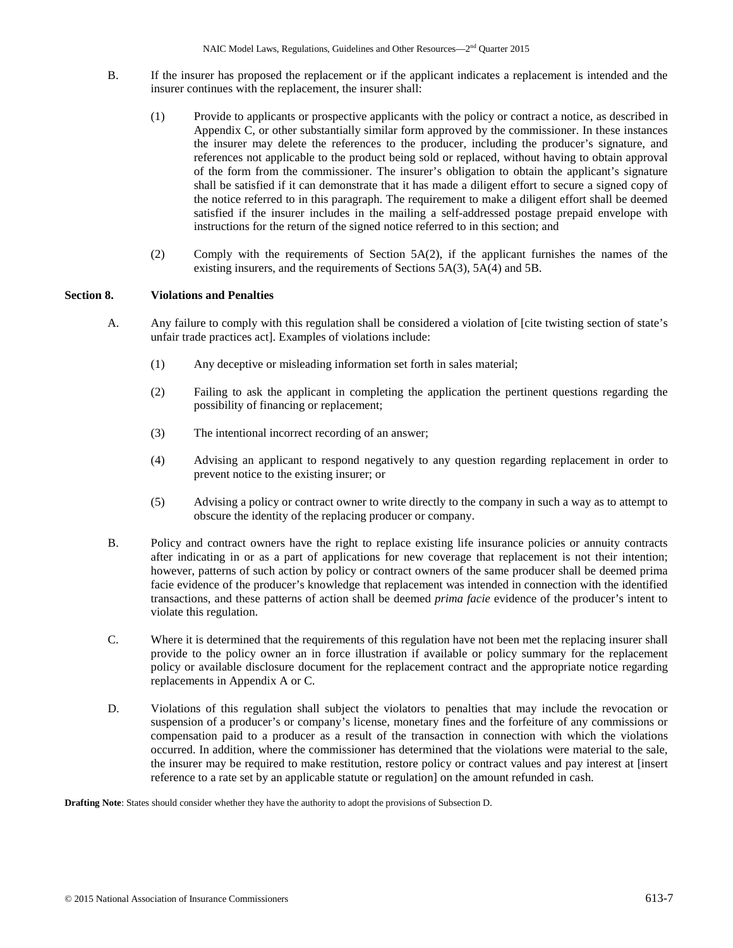- B. If the insurer has proposed the replacement or if the applicant indicates a replacement is intended and the insurer continues with the replacement, the insurer shall:
	- (1) Provide to applicants or prospective applicants with the policy or contract a notice, as described in Appendix C, or other substantially similar form approved by the commissioner. In these instances the insurer may delete the references to the producer, including the producer's signature, and references not applicable to the product being sold or replaced, without having to obtain approval of the form from the commissioner. The insurer's obligation to obtain the applicant's signature shall be satisfied if it can demonstrate that it has made a diligent effort to secure a signed copy of the notice referred to in this paragraph. The requirement to make a diligent effort shall be deemed satisfied if the insurer includes in the mailing a self-addressed postage prepaid envelope with instructions for the return of the signed notice referred to in this section; and
	- (2) Comply with the requirements of Section 5A(2), if the applicant furnishes the names of the existing insurers, and the requirements of Sections 5A(3), 5A(4) and 5B.

# **Section 8. Violations and Penalties**

- A. Any failure to comply with this regulation shall be considered a violation of [cite twisting section of state's unfair trade practices act]. Examples of violations include:
	- (1) Any deceptive or misleading information set forth in sales material;
	- (2) Failing to ask the applicant in completing the application the pertinent questions regarding the possibility of financing or replacement;
	- (3) The intentional incorrect recording of an answer;
	- (4) Advising an applicant to respond negatively to any question regarding replacement in order to prevent notice to the existing insurer; or
	- (5) Advising a policy or contract owner to write directly to the company in such a way as to attempt to obscure the identity of the replacing producer or company.
- B. Policy and contract owners have the right to replace existing life insurance policies or annuity contracts after indicating in or as a part of applications for new coverage that replacement is not their intention; however, patterns of such action by policy or contract owners of the same producer shall be deemed prima facie evidence of the producer's knowledge that replacement was intended in connection with the identified transactions, and these patterns of action shall be deemed *prima facie* evidence of the producer's intent to violate this regulation.
- C. Where it is determined that the requirements of this regulation have not been met the replacing insurer shall provide to the policy owner an in force illustration if available or policy summary for the replacement policy or available disclosure document for the replacement contract and the appropriate notice regarding replacements in Appendix A or C.
- D. Violations of this regulation shall subject the violators to penalties that may include the revocation or suspension of a producer's or company's license, monetary fines and the forfeiture of any commissions or compensation paid to a producer as a result of the transaction in connection with which the violations occurred. In addition, where the commissioner has determined that the violations were material to the sale, the insurer may be required to make restitution, restore policy or contract values and pay interest at [insert reference to a rate set by an applicable statute or regulation] on the amount refunded in cash.

**Drafting Note**: States should consider whether they have the authority to adopt the provisions of Subsection D.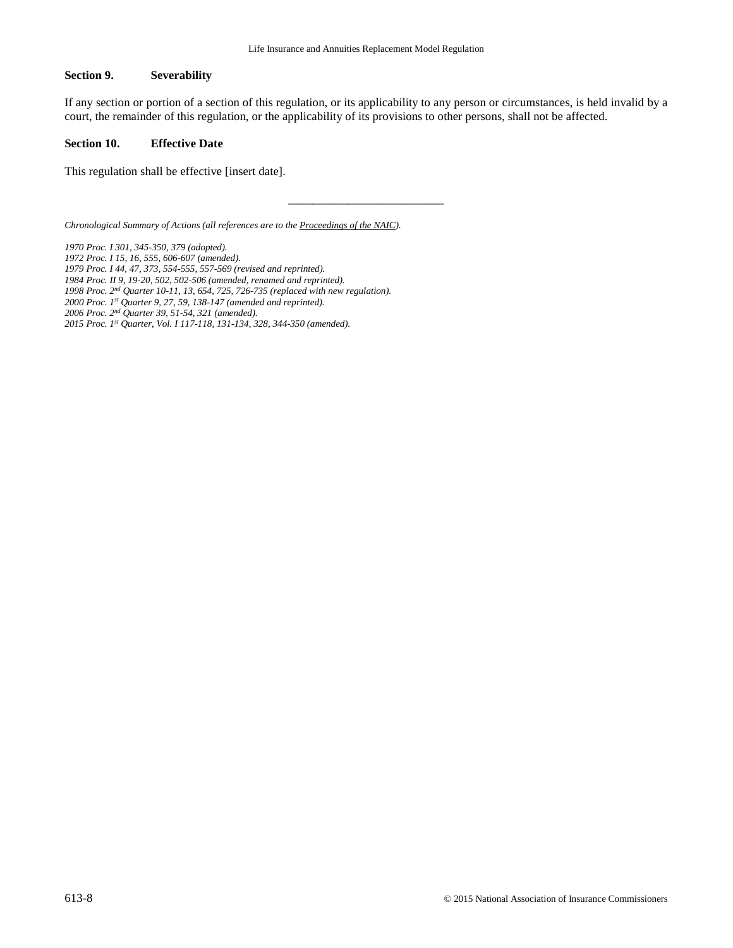### **Section 9. Severability**

If any section or portion of a section of this regulation, or its applicability to any person or circumstances, is held invalid by a court, the remainder of this regulation, or the applicability of its provisions to other persons, shall not be affected.

\_\_\_\_\_\_\_\_\_\_\_\_\_\_\_\_\_\_\_\_\_\_\_\_\_\_

### **Section 10. Effective Date**

This regulation shall be effective [insert date].

*Chronological Summary of Actions (all references are to the Proceedings of the NAIC).*

- *1972 Proc. I 15, 16, 555, 606-607 (amended).*
- *1979 Proc. I 44, 47, 373, 554-555, 557-569 (revised and reprinted).*
- *1984 Proc. II 9, 19-20, 502, 502-506 (amended, renamed and reprinted).*
- *1998 Proc. 2nd Quarter 10-11, 13, 654, 725, 726-735 (replaced with new regulation).*
- *2000 Proc. 1st Quarter 9, 27, 59, 138-147 (amended and reprinted).*
- *2006 Proc. 2nd Quarter 39, 51-54, 321 (amended).*

*2015 Proc. 1st Quarter, Vol. I 117-118, 131-134, 328, 344-350 (amended).*

*<sup>1970</sup> Proc. I 301, 345-350, 379 (adopted).*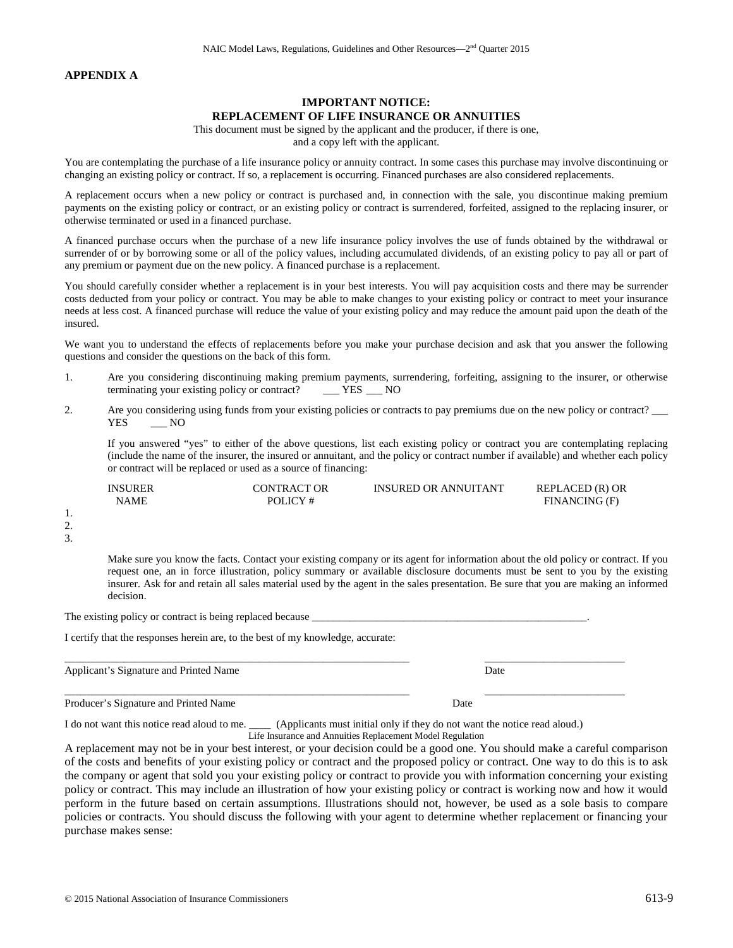#### **APPENDIX A**

### **IMPORTANT NOTICE: REPLACEMENT OF LIFE INSURANCE OR ANNUITIES**

This document must be signed by the applicant and the producer, if there is one, and a copy left with the applicant.

You are contemplating the purchase of a life insurance policy or annuity contract. In some cases this purchase may involve discontinuing or changing an existing policy or contract. If so, a replacement is occurring. Financed purchases are also considered replacements.

A replacement occurs when a new policy or contract is purchased and, in connection with the sale, you discontinue making premium payments on the existing policy or contract, or an existing policy or contract is surrendered, forfeited, assigned to the replacing insurer, or otherwise terminated or used in a financed purchase.

A financed purchase occurs when the purchase of a new life insurance policy involves the use of funds obtained by the withdrawal or surrender of or by borrowing some or all of the policy values, including accumulated dividends, of an existing policy to pay all or part of any premium or payment due on the new policy. A financed purchase is a replacement.

You should carefully consider whether a replacement is in your best interests. You will pay acquisition costs and there may be surrender costs deducted from your policy or contract. You may be able to make changes to your existing policy or contract to meet your insurance needs at less cost. A financed purchase will reduce the value of your existing policy and may reduce the amount paid upon the death of the insured.

We want you to understand the effects of replacements before you make your purchase decision and ask that you answer the following questions and consider the questions on the back of this form.

- 1. Are you considering discontinuing making premium payments, surrendering, forfeiting, assigning to the insurer, or otherwise terminating your existing policy or contract?
- 2. Are you considering using funds from your existing policies or contracts to pay premiums due on the new policy or contract? \_\_\_ YES \_\_\_ NO

If you answered "yes" to either of the above questions, list each existing policy or contract you are contemplating replacing (include the name of the insurer, the insured or annuitant, and the policy or contract number if available) and whether each policy or contract will be replaced or used as a source of financing:

| <b>INSURER</b> | <b>CONTRACT OR</b> | INSURED OR ANNUITANT | REPLACED (R) OR |
|----------------|--------------------|----------------------|-----------------|
| <b>NAME</b>    | POLICY #           |                      | FINANCING (F)   |
|                |                    |                      |                 |

- 1.  $\mathcal{L}$
- 3.

Make sure you know the facts. Contact your existing company or its agent for information about the old policy or contract. If you request one, an in force illustration, policy summary or available disclosure documents must be sent to you by the existing insurer. Ask for and retain all sales material used by the agent in the sales presentation. Be sure that you are making an informed decision.

The existing policy or contract is being replaced because  $\overline{\phantom{a}}$ 

I certify that the responses herein are, to the best of my knowledge, accurate:

Applicant's Signature and Printed Name Date Date Date Date

Producer's Signature and Printed Name Date

I do not want this notice read aloud to me. \_\_\_\_ (Applicants must initial only if they do not want the notice read aloud.) Life Insurance and Annuities Replacement Model Regulation

 $\_$  ,  $\_$  ,  $\_$  ,  $\_$  ,  $\_$  ,  $\_$  ,  $\_$  ,  $\_$  ,  $\_$  ,  $\_$  ,  $\_$  ,  $\_$  ,  $\_$  ,  $\_$  ,  $\_$  ,  $\_$  ,  $\_$  ,  $\_$  ,  $\_$  ,  $\_$  ,  $\_$  ,  $\_$  ,  $\_$  ,  $\_$  ,  $\_$  ,  $\_$  ,  $\_$  ,  $\_$  ,  $\_$  ,  $\_$  ,  $\_$  ,  $\_$  ,  $\_$  ,  $\_$  ,  $\_$  ,  $\_$  ,  $\_$  ,

 $\_$  ,  $\_$  ,  $\_$  ,  $\_$  ,  $\_$  ,  $\_$  ,  $\_$  ,  $\_$  ,  $\_$  ,  $\_$  ,  $\_$  ,  $\_$  ,  $\_$  ,  $\_$  ,  $\_$  ,  $\_$  ,  $\_$  ,  $\_$  ,  $\_$  ,  $\_$  ,  $\_$  ,  $\_$  ,  $\_$  ,  $\_$  ,  $\_$  ,  $\_$  ,  $\_$  ,  $\_$  ,  $\_$  ,  $\_$  ,  $\_$  ,  $\_$  ,  $\_$  ,  $\_$  ,  $\_$  ,  $\_$  ,  $\_$  ,

A replacement may not be in your best interest, or your decision could be a good one. You should make a careful comparison of the costs and benefits of your existing policy or contract and the proposed policy or contract. One way to do this is to ask the company or agent that sold you your existing policy or contract to provide you with information concerning your existing policy or contract. This may include an illustration of how your existing policy or contract is working now and how it would perform in the future based on certain assumptions. Illustrations should not, however, be used as a sole basis to compare policies or contracts. You should discuss the following with your agent to determine whether replacement or financing your purchase makes sense: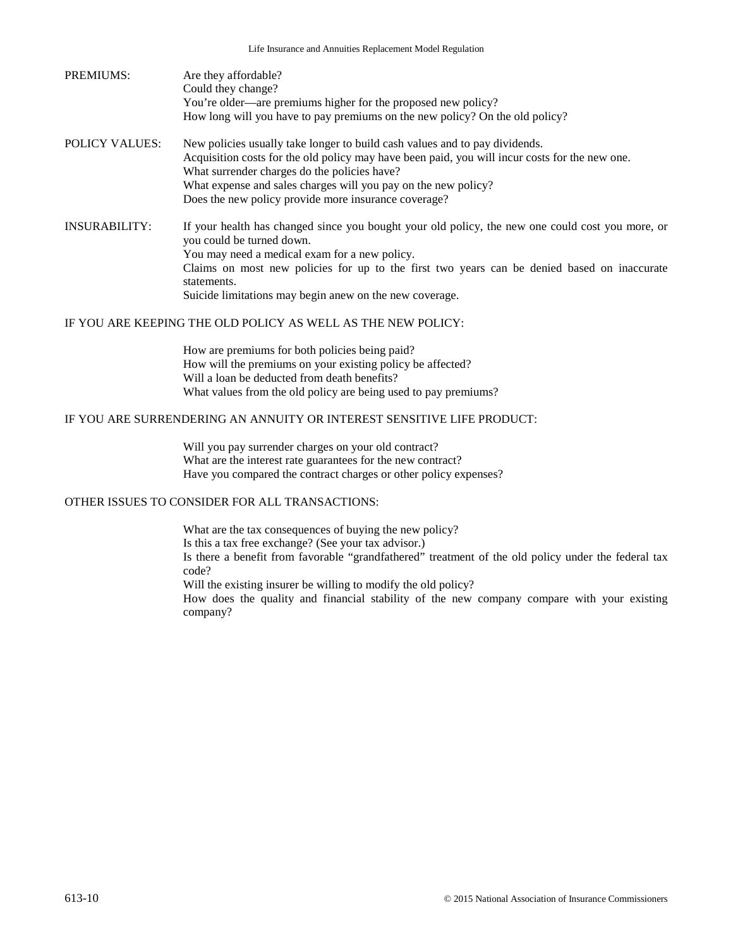Life Insurance and Annuities Replacement Model Regulation

| <b>PREMIUMS:</b>      | Are they affordable?<br>Could they change?<br>You're older—are premiums higher for the proposed new policy?<br>How long will you have to pay premiums on the new policy? On the old policy?                                                                                                                                                             |
|-----------------------|---------------------------------------------------------------------------------------------------------------------------------------------------------------------------------------------------------------------------------------------------------------------------------------------------------------------------------------------------------|
| <b>POLICY VALUES:</b> | New policies usually take longer to build cash values and to pay dividends.<br>Acquisition costs for the old policy may have been paid, you will incur costs for the new one.<br>What surrender charges do the policies have?<br>What expense and sales charges will you pay on the new policy?<br>Does the new policy provide more insurance coverage? |
| <b>INSURABILITY:</b>  | If your health has changed since you bought your old policy, the new one could cost you more, or<br>you could be turned down.<br>You may need a medical exam for a new policy.<br>Claims on most new policies for up to the first two years can be denied based on inaccurate<br>statements.<br>Suicide limitations may begin anew on the new coverage. |

# IF YOU ARE KEEPING THE OLD POLICY AS WELL AS THE NEW POLICY:

How are premiums for both policies being paid? How will the premiums on your existing policy be affected? Will a loan be deducted from death benefits? What values from the old policy are being used to pay premiums?

### IF YOU ARE SURRENDERING AN ANNUITY OR INTEREST SENSITIVE LIFE PRODUCT:

Will you pay surrender charges on your old contract? What are the interest rate guarantees for the new contract? Have you compared the contract charges or other policy expenses?

## OTHER ISSUES TO CONSIDER FOR ALL TRANSACTIONS:

What are the tax consequences of buying the new policy? Is this a tax free exchange? (See your tax advisor.) Is there a benefit from favorable "grandfathered" treatment of the old policy under the federal tax code?

Will the existing insurer be willing to modify the old policy?

How does the quality and financial stability of the new company compare with your existing company?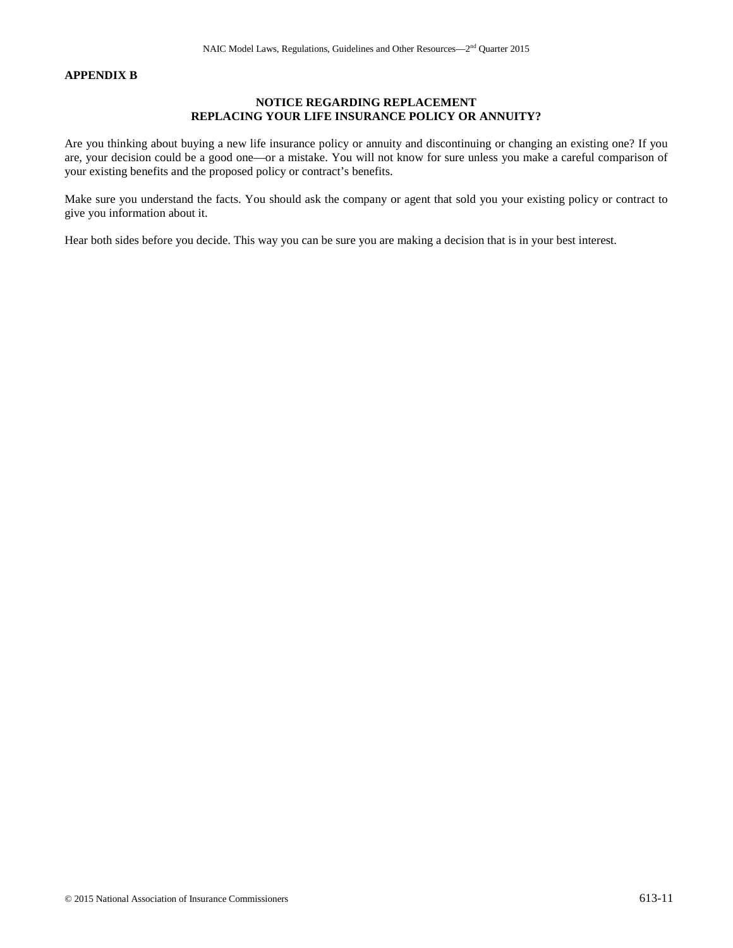### **APPENDIX B**

### **NOTICE REGARDING REPLACEMENT REPLACING YOUR LIFE INSURANCE POLICY OR ANNUITY?**

Are you thinking about buying a new life insurance policy or annuity and discontinuing or changing an existing one? If you are, your decision could be a good one—or a mistake. You will not know for sure unless you make a careful comparison of your existing benefits and the proposed policy or contract's benefits.

Make sure you understand the facts. You should ask the company or agent that sold you your existing policy or contract to give you information about it.

Hear both sides before you decide. This way you can be sure you are making a decision that is in your best interest.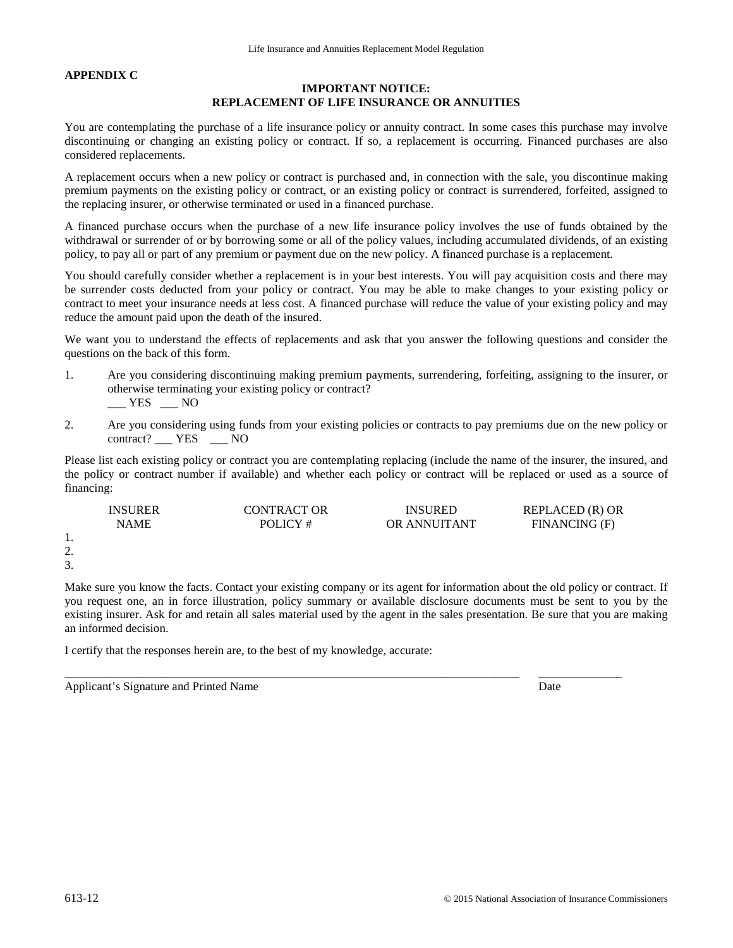### **APPENDIX C**

# **IMPORTANT NOTICE: REPLACEMENT OF LIFE INSURANCE OR ANNUITIES**

You are contemplating the purchase of a life insurance policy or annuity contract. In some cases this purchase may involve discontinuing or changing an existing policy or contract. If so, a replacement is occurring. Financed purchases are also considered replacements.

A replacement occurs when a new policy or contract is purchased and, in connection with the sale, you discontinue making premium payments on the existing policy or contract, or an existing policy or contract is surrendered, forfeited, assigned to the replacing insurer, or otherwise terminated or used in a financed purchase.

A financed purchase occurs when the purchase of a new life insurance policy involves the use of funds obtained by the withdrawal or surrender of or by borrowing some or all of the policy values, including accumulated dividends, of an existing policy, to pay all or part of any premium or payment due on the new policy. A financed purchase is a replacement.

You should carefully consider whether a replacement is in your best interests. You will pay acquisition costs and there may be surrender costs deducted from your policy or contract. You may be able to make changes to your existing policy or contract to meet your insurance needs at less cost. A financed purchase will reduce the value of your existing policy and may reduce the amount paid upon the death of the insured.

We want you to understand the effects of replacements and ask that you answer the following questions and consider the questions on the back of this form.

- 1. Are you considering discontinuing making premium payments, surrendering, forfeiting, assigning to the insurer, or otherwise terminating your existing policy or contract?  $\frac{1}{2}$  YES  $\frac{1}{2}$  NO
- 2. Are you considering using funds from your existing policies or contracts to pay premiums due on the new policy or contract? \_\_\_ YES \_\_\_ NO

Please list each existing policy or contract you are contemplating replacing (include the name of the insurer, the insured, and the policy or contract number if available) and whether each policy or contract will be replaced or used as a source of financing:

|    | <b>INSURER</b><br><b>NAME</b> | CONTRACT OR<br>POLICY# | <b>INSURED</b><br>OR ANNUITANT | REPLACED (R) OR<br>FINANCING (F) |
|----|-------------------------------|------------------------|--------------------------------|----------------------------------|
| ı. |                               |                        |                                |                                  |
| ۷. |                               |                        |                                |                                  |
| 3. |                               |                        |                                |                                  |

Make sure you know the facts. Contact your existing company or its agent for information about the old policy or contract. If you request one, an in force illustration, policy summary or available disclosure documents must be sent to you by the existing insurer. Ask for and retain all sales material used by the agent in the sales presentation. Be sure that you are making an informed decision.

\_\_\_\_\_\_\_\_\_\_\_\_\_\_\_\_\_\_\_\_\_\_\_\_\_\_\_\_\_\_\_\_\_\_\_\_\_\_\_\_\_\_\_\_\_\_\_\_\_\_\_\_\_\_\_\_\_\_\_\_\_\_\_\_\_\_\_\_\_\_\_\_\_\_\_\_ \_\_\_\_\_\_\_\_\_\_\_\_\_\_

I certify that the responses herein are, to the best of my knowledge, accurate:

Applicant's Signature and Printed Name Date by the United States of the Date Date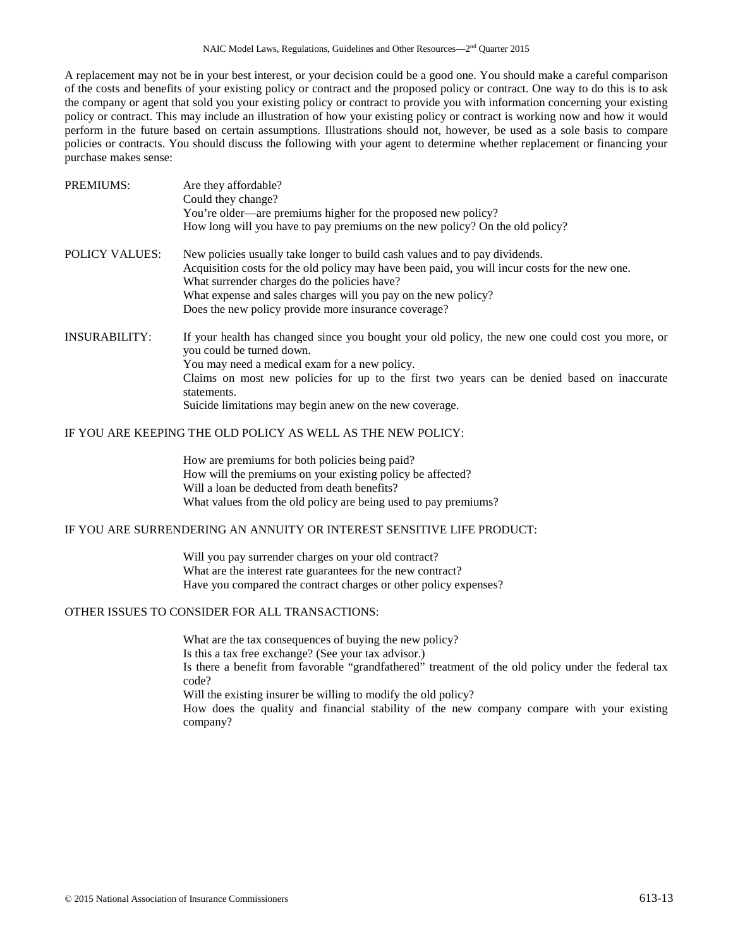A replacement may not be in your best interest, or your decision could be a good one. You should make a careful comparison of the costs and benefits of your existing policy or contract and the proposed policy or contract. One way to do this is to ask the company or agent that sold you your existing policy or contract to provide you with information concerning your existing policy or contract. This may include an illustration of how your existing policy or contract is working now and how it would perform in the future based on certain assumptions. Illustrations should not, however, be used as a sole basis to compare policies or contracts. You should discuss the following with your agent to determine whether replacement or financing your purchase makes sense:

| <b>PREMIUMS:</b>     | Are they affordable?<br>Could they change?<br>You're older—are premiums higher for the proposed new policy?                                                                                                                                                                                                                                             |
|----------------------|---------------------------------------------------------------------------------------------------------------------------------------------------------------------------------------------------------------------------------------------------------------------------------------------------------------------------------------------------------|
|                      | How long will you have to pay premiums on the new policy? On the old policy?                                                                                                                                                                                                                                                                            |
| POLICY VALUES:       | New policies usually take longer to build cash values and to pay dividends.<br>Acquisition costs for the old policy may have been paid, you will incur costs for the new one.<br>What surrender charges do the policies have?<br>What expense and sales charges will you pay on the new policy?<br>Does the new policy provide more insurance coverage? |
| <b>INSURABILITY:</b> | If your health has changed since you bought your old policy, the new one could cost you more, or<br>you could be turned down.<br>You may need a medical exam for a new policy.<br>Claims on most new policies for up to the first two years can be denied based on inaccurate<br>statements.<br>Suicide limitations may begin anew on the new coverage. |

## IF YOU ARE KEEPING THE OLD POLICY AS WELL AS THE NEW POLICY:

How are premiums for both policies being paid? How will the premiums on your existing policy be affected? Will a loan be deducted from death benefits? What values from the old policy are being used to pay premiums?

# IF YOU ARE SURRENDERING AN ANNUITY OR INTEREST SENSITIVE LIFE PRODUCT:

Will you pay surrender charges on your old contract? What are the interest rate guarantees for the new contract? Have you compared the contract charges or other policy expenses?

# OTHER ISSUES TO CONSIDER FOR ALL TRANSACTIONS:

What are the tax consequences of buying the new policy? Is this a tax free exchange? (See your tax advisor.) Is there a benefit from favorable "grandfathered" treatment of the old policy under the federal tax code? Will the existing insurer be willing to modify the old policy?

How does the quality and financial stability of the new company compare with your existing company?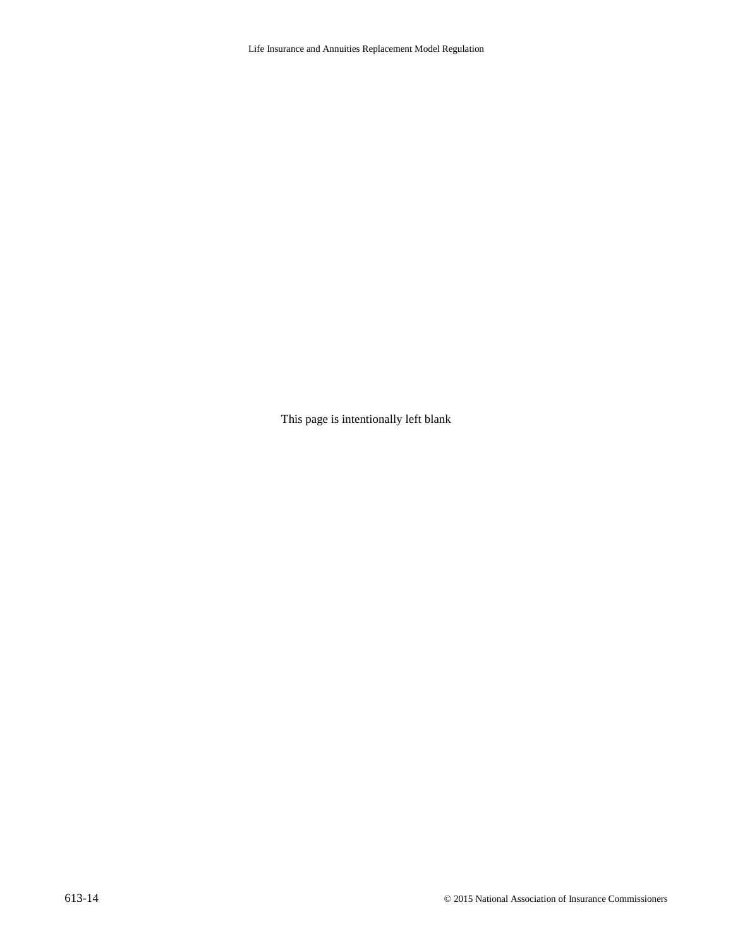Life Insurance and Annuities Replacement Model Regulation

This page is intentionally left blank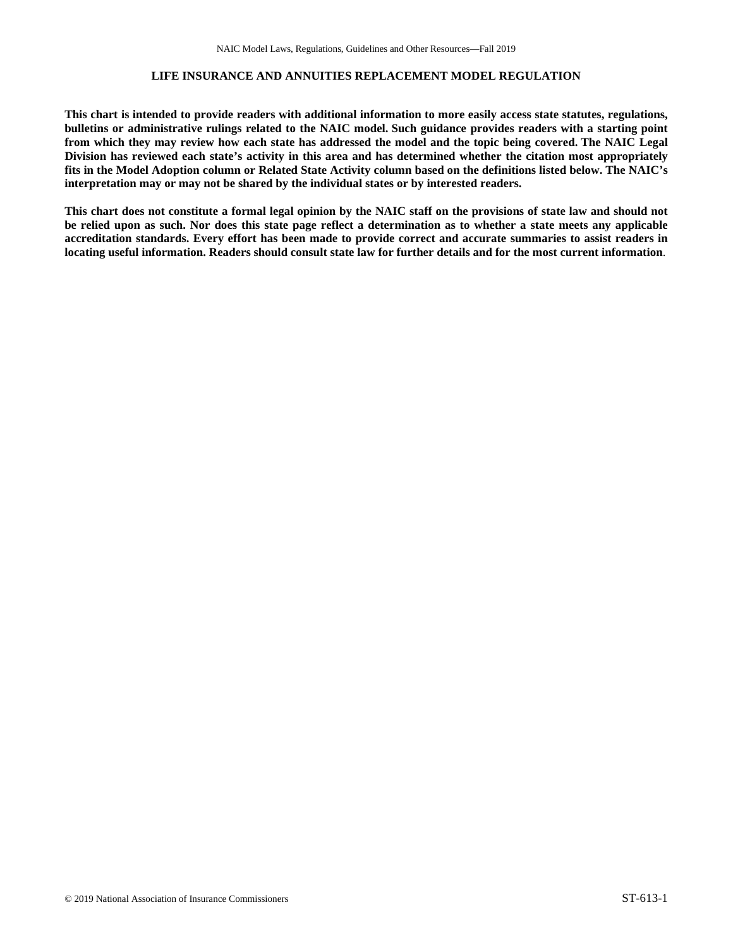**This chart is intended to provide readers with additional information to more easily access state statutes, regulations, bulletins or administrative rulings related to the NAIC model. Such guidance provides readers with a starting point from which they may review how each state has addressed the model and the topic being covered. The NAIC Legal Division has reviewed each state's activity in this area and has determined whether the citation most appropriately fits in the Model Adoption column or Related State Activity column based on the definitions listed below. The NAIC's interpretation may or may not be shared by the individual states or by interested readers.** 

**This chart does not constitute a formal legal opinion by the NAIC staff on the provisions of state law and should not be relied upon as such. Nor does this state page reflect a determination as to whether a state meets any applicable accreditation standards. Every effort has been made to provide correct and accurate summaries to assist readers in locating useful information. Readers should consult state law for further details and for the most current information**.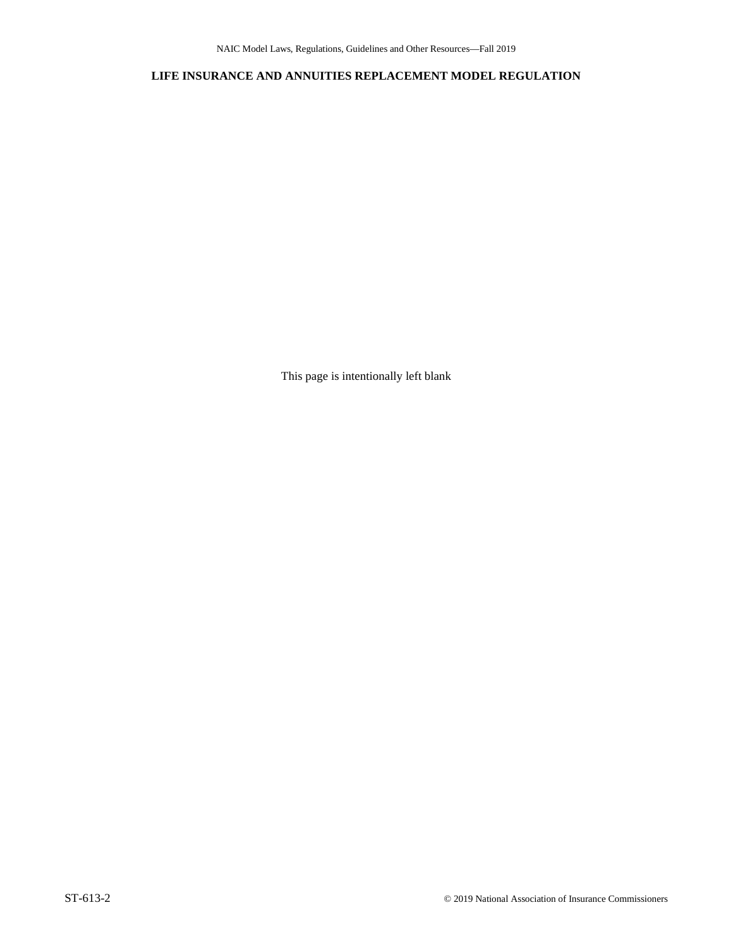This page is intentionally left blank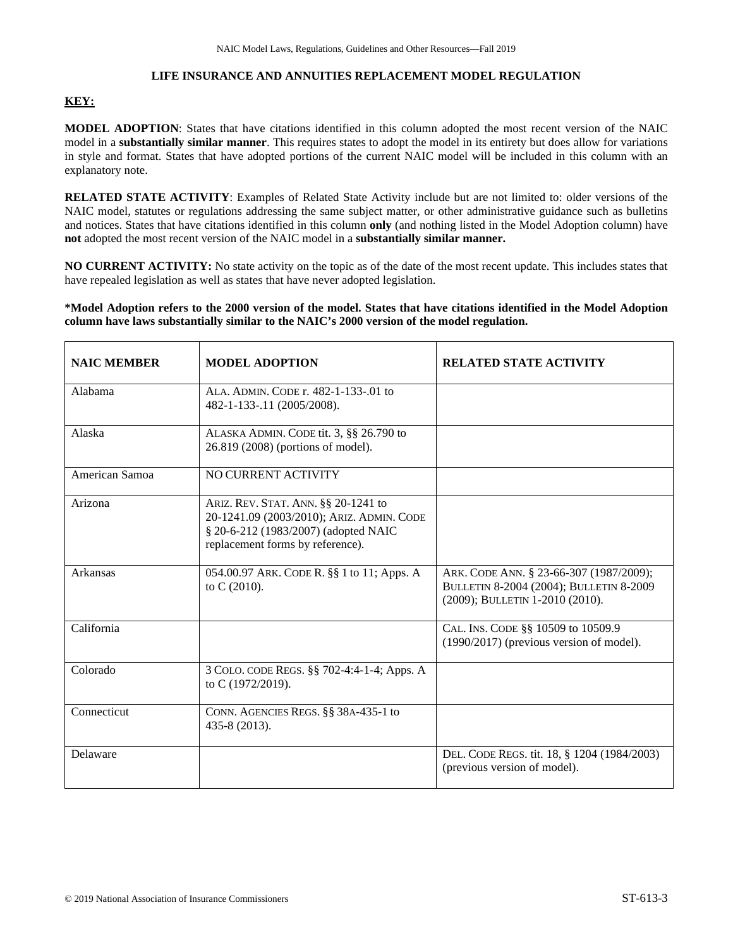### **KEY:**

**MODEL ADOPTION**: States that have citations identified in this column adopted the most recent version of the NAIC model in a **substantially similar manner**. This requires states to adopt the model in its entirety but does allow for variations in style and format. States that have adopted portions of the current NAIC model will be included in this column with an explanatory note.

**RELATED STATE ACTIVITY**: Examples of Related State Activity include but are not limited to: older versions of the NAIC model, statutes or regulations addressing the same subject matter, or other administrative guidance such as bulletins and notices. States that have citations identified in this column **only** (and nothing listed in the Model Adoption column) have **not** adopted the most recent version of the NAIC model in a **substantially similar manner.**

**NO CURRENT ACTIVITY:** No state activity on the topic as of the date of the most recent update. This includes states that have repealed legislation as well as states that have never adopted legislation.

**\*Model Adoption refers to the 2000 version of the model. States that have citations identified in the Model Adoption column have laws substantially similar to the NAIC's 2000 version of the model regulation.**

| <b>NAIC MEMBER</b> | <b>MODEL ADOPTION</b>                                                                                                                                        | <b>RELATED STATE ACTIVITY</b>                                                                                         |
|--------------------|--------------------------------------------------------------------------------------------------------------------------------------------------------------|-----------------------------------------------------------------------------------------------------------------------|
| Alabama            | ALA, ADMIN, CODE r. 482-1-133-.01 to<br>482-1-133-.11 (2005/2008).                                                                                           |                                                                                                                       |
| Alaska             | ALASKA ADMIN. CODE tit. 3, §§ 26.790 to<br>26.819 (2008) (portions of model).                                                                                |                                                                                                                       |
| American Samoa     | NO CURRENT ACTIVITY                                                                                                                                          |                                                                                                                       |
| Arizona            | ARIZ. REV. STAT. ANN. §§ 20-1241 to<br>20-1241.09 (2003/2010); ARIZ. ADMIN. CODE<br>§ 20-6-212 (1983/2007) (adopted NAIC<br>replacement forms by reference). |                                                                                                                       |
| Arkansas           | 054.00.97 ARK. CODE R. §§ 1 to 11; Apps. A<br>to C (2010).                                                                                                   | ARK. CODE ANN. § 23-66-307 (1987/2009);<br>BULLETIN 8-2004 (2004); BULLETIN 8-2009<br>(2009); BULLETIN 1-2010 (2010). |
| California         |                                                                                                                                                              | CAL. INS. CODE §§ 10509 to 10509.9<br>$(1990/2017)$ (previous version of model).                                      |
| Colorado           | 3 COLO. CODE REGS. §§ 702-4:4-1-4; Apps. A<br>to C (1972/2019).                                                                                              |                                                                                                                       |
| Connecticut        | CONN. AGENCIES REGS. §§ 38A-435-1 to<br>435-8 (2013).                                                                                                        |                                                                                                                       |
| Delaware           |                                                                                                                                                              | DEL. CODE REGS. tit. 18, § 1204 (1984/2003)<br>(previous version of model).                                           |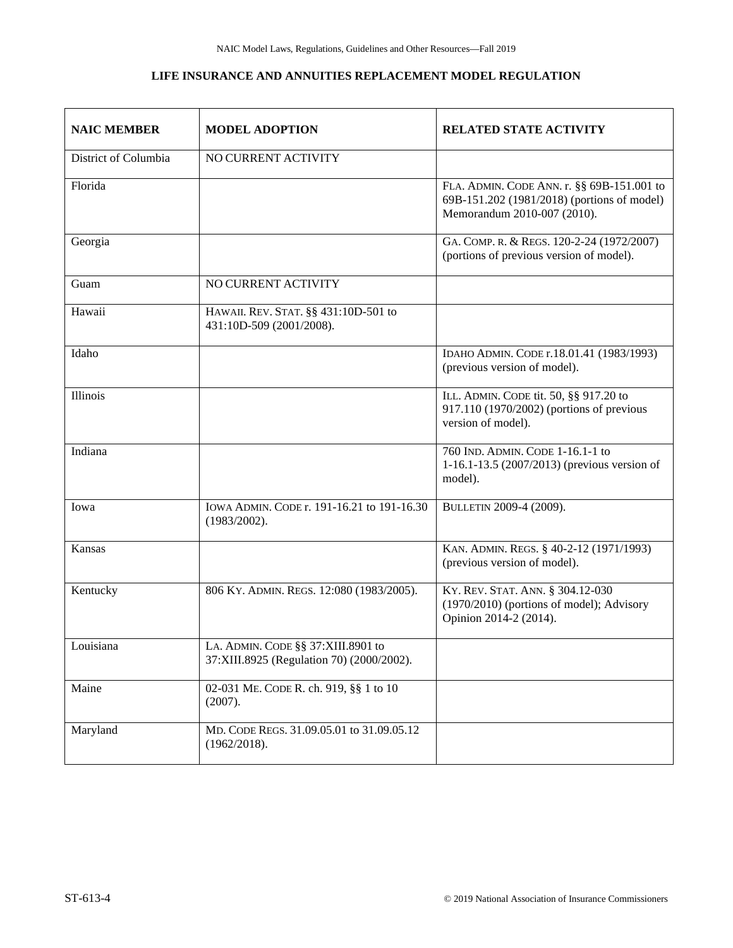| <b>NAIC MEMBER</b>   | <b>MODEL ADOPTION</b>                                                           | <b>RELATED STATE ACTIVITY</b>                                                                                            |
|----------------------|---------------------------------------------------------------------------------|--------------------------------------------------------------------------------------------------------------------------|
| District of Columbia | NO CURRENT ACTIVITY                                                             |                                                                                                                          |
| Florida              |                                                                                 | FLA. ADMIN. CODE ANN. r. §§ 69B-151.001 to<br>69B-151.202 (1981/2018) (portions of model)<br>Memorandum 2010-007 (2010). |
| Georgia              |                                                                                 | GA. COMP. R. & REGS. 120-2-24 (1972/2007)<br>(portions of previous version of model).                                    |
| Guam                 | NO CURRENT ACTIVITY                                                             |                                                                                                                          |
| Hawaii               | HAWAII. REV. STAT. §§ 431:10D-501 to<br>431:10D-509 (2001/2008).                |                                                                                                                          |
| Idaho                |                                                                                 | IDAHO ADMIN. CODE r.18.01.41 (1983/1993)<br>(previous version of model).                                                 |
| Illinois             |                                                                                 | ILL. ADMIN. CODE tit. 50, §§ 917.20 to<br>917.110 (1970/2002) (portions of previous<br>version of model).                |
| Indiana              |                                                                                 | 760 IND. ADMIN. CODE 1-16.1-1 to<br>1-16.1-13.5 (2007/2013) (previous version of<br>model).                              |
| Iowa                 | IOWA ADMIN. CODE r. 191-16.21 to 191-16.30<br>(1983/2002).                      | BULLETIN 2009-4 (2009).                                                                                                  |
| Kansas               |                                                                                 | KAN. ADMIN. REGS. § 40-2-12 (1971/1993)<br>(previous version of model).                                                  |
| Kentucky             | 806 KY. ADMIN. REGS. 12:080 (1983/2005).                                        | KY. REV. STAT. ANN. § 304.12-030<br>(1970/2010) (portions of model); Advisory<br>Opinion 2014-2 (2014).                  |
| Louisiana            | LA. ADMIN. CODE §§ 37:XIII.8901 to<br>37:XIII.8925 (Regulation 70) (2000/2002). |                                                                                                                          |
| Maine                | 02-031 ME. CODE R. ch. 919, §§ 1 to 10<br>(2007).                               |                                                                                                                          |
| Maryland             | MD. CODE REGS. 31.09.05.01 to 31.09.05.12<br>(1962/2018).                       |                                                                                                                          |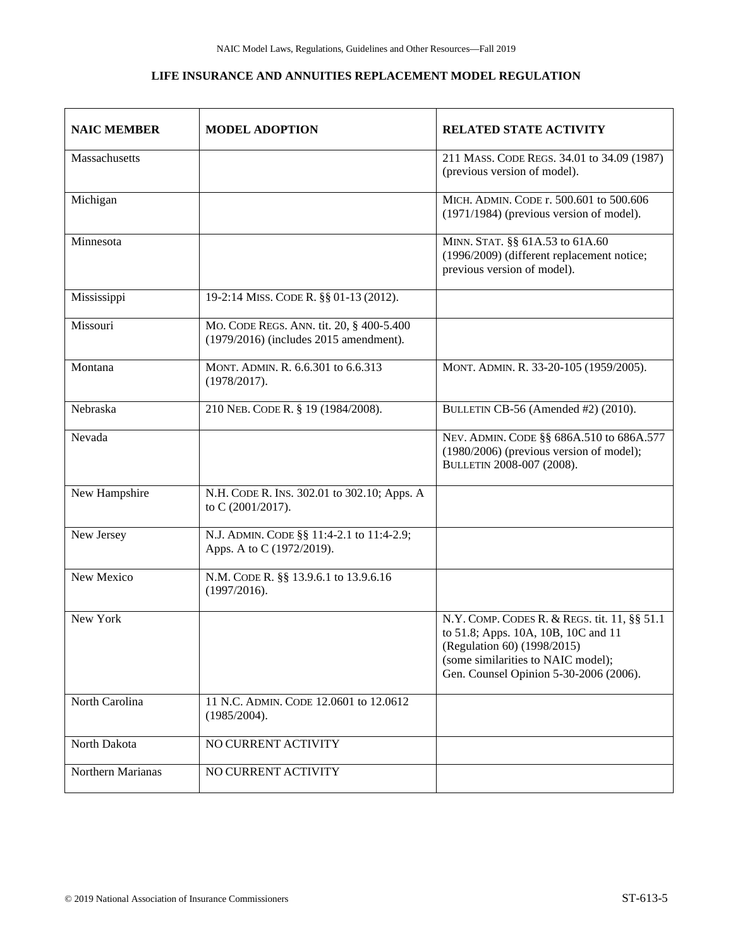| <b>NAIC MEMBER</b> | <b>MODEL ADOPTION</b>                                                              | <b>RELATED STATE ACTIVITY</b>                                                                                                                                                                      |
|--------------------|------------------------------------------------------------------------------------|----------------------------------------------------------------------------------------------------------------------------------------------------------------------------------------------------|
| Massachusetts      |                                                                                    | 211 MASS. CODE REGS. 34.01 to 34.09 (1987)<br>(previous version of model).                                                                                                                         |
| Michigan           |                                                                                    | MICH. ADMIN. CODE r. 500.601 to 500.606<br>$(1971/1984)$ (previous version of model).                                                                                                              |
| Minnesota          |                                                                                    | MINN. STAT. §§ 61A.53 to 61A.60<br>(1996/2009) (different replacement notice;<br>previous version of model).                                                                                       |
| Mississippi        | 19-2:14 MISS. CODE R. §§ 01-13 (2012).                                             |                                                                                                                                                                                                    |
| Missouri           | MO. CODE REGS. ANN. tit. 20, § 400-5.400<br>(1979/2016) (includes 2015 amendment). |                                                                                                                                                                                                    |
| Montana            | MONT. ADMIN. R. 6.6.301 to 6.6.313<br>(1978/2017).                                 | MONT. ADMIN. R. 33-20-105 (1959/2005).                                                                                                                                                             |
| Nebraska           | 210 NEB. CODE R. § 19 (1984/2008).                                                 | BULLETIN CB-56 (Amended #2) (2010).                                                                                                                                                                |
| Nevada             |                                                                                    | NEV. ADMIN. CODE §§ 686A.510 to 686A.577<br>(1980/2006) (previous version of model);<br>BULLETIN 2008-007 (2008).                                                                                  |
| New Hampshire      | N.H. CODE R. INS. 302.01 to 302.10; Apps. A<br>to C (2001/2017).                   |                                                                                                                                                                                                    |
| New Jersey         | N.J. ADMIN. CODE §§ 11:4-2.1 to 11:4-2.9;<br>Apps. A to C (1972/2019).             |                                                                                                                                                                                                    |
| New Mexico         | N.M. CODE R. §§ 13.9.6.1 to 13.9.6.16<br>(1997/2016).                              |                                                                                                                                                                                                    |
| New York           |                                                                                    | N.Y. COMP. CODES R. & REGS. tit. 11, §§ 51.1<br>to 51.8; Apps. 10A, 10B, 10C and 11<br>(Regulation 60) (1998/2015)<br>(some similarities to NAIC model);<br>Gen. Counsel Opinion 5-30-2006 (2006). |
| North Carolina     | 11 N.C. ADMIN. CODE 12.0601 to 12.0612<br>(1985/2004).                             |                                                                                                                                                                                                    |
| North Dakota       | NO CURRENT ACTIVITY                                                                |                                                                                                                                                                                                    |
| Northern Marianas  | NO CURRENT ACTIVITY                                                                |                                                                                                                                                                                                    |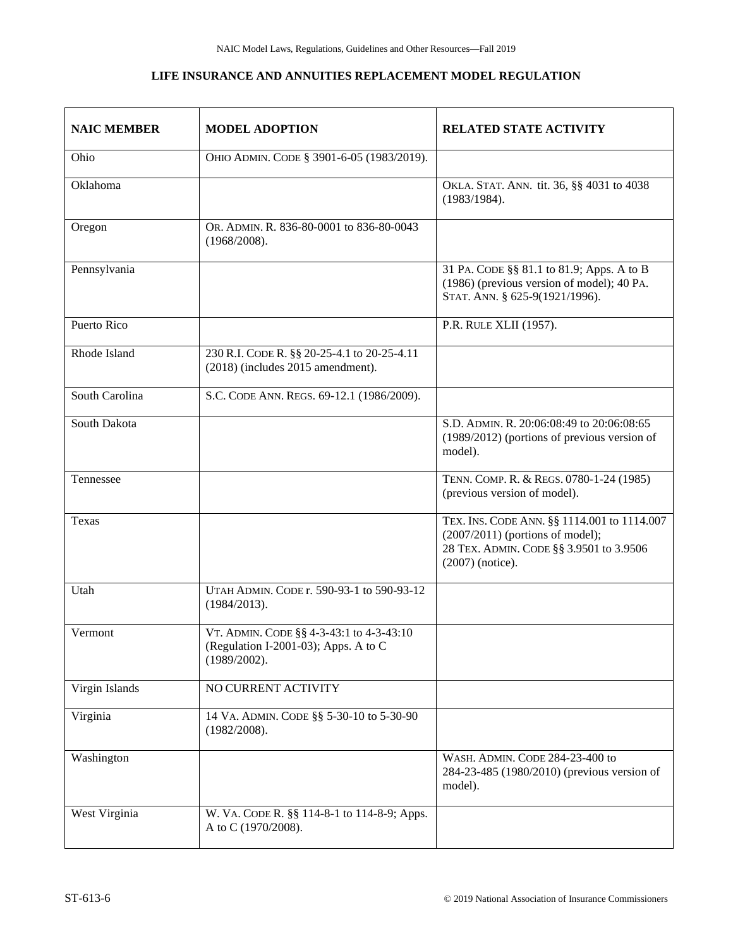| <b>NAIC MEMBER</b> | <b>MODEL ADOPTION</b>                                                                            | <b>RELATED STATE ACTIVITY</b>                                                                                                                    |
|--------------------|--------------------------------------------------------------------------------------------------|--------------------------------------------------------------------------------------------------------------------------------------------------|
| Ohio               | ОНЮ АДМІ СОДЕ § 3901-6-05 (1983/2019).                                                           |                                                                                                                                                  |
| Oklahoma           |                                                                                                  | OKLA. STAT. ANN. tit. 36, §§ 4031 to 4038<br>(1983/1984).                                                                                        |
| Oregon             | OR. ADMIN. R. 836-80-0001 to 836-80-0043<br>(1968/2008).                                         |                                                                                                                                                  |
| Pennsylvania       |                                                                                                  | 31 PA. CODE §§ 81.1 to 81.9; Apps. A to B<br>(1986) (previous version of model); 40 PA.<br>STAT. ANN. § 625-9(1921/1996).                        |
| Puerto Rico        |                                                                                                  | P.R. RULE XLII (1957).                                                                                                                           |
| Rhode Island       | 230 R.I. CODE R. §§ 20-25-4.1 to 20-25-4.11<br>(2018) (includes 2015 amendment).                 |                                                                                                                                                  |
| South Carolina     | S.C. CODE ANN. REGS. 69-12.1 (1986/2009).                                                        |                                                                                                                                                  |
| South Dakota       |                                                                                                  | S.D. ADMIN. R. 20:06:08:49 to 20:06:08:65<br>$(1989/2012)$ (portions of previous version of<br>model).                                           |
| Tennessee          |                                                                                                  | TENN. COMP. R. & REGS. 0780-1-24 (1985)<br>(previous version of model).                                                                          |
| Texas              |                                                                                                  | TEX. INS. CODE ANN. §§ 1114.001 to 1114.007<br>$(2007/2011)$ (portions of model);<br>28 TEX. ADMIN. CODE §§ 3.9501 to 3.9506<br>(2007) (notice). |
| Utah               | UTAH ADMIN. CODE r. 590-93-1 to 590-93-12<br>(1984/2013).                                        |                                                                                                                                                  |
| Vermont            | VT. ADMIN. CODE §§ 4-3-43:1 to 4-3-43:10<br>(Regulation I-2001-03); Apps. A to C<br>(1989/2002). |                                                                                                                                                  |
| Virgin Islands     | NO CURRENT ACTIVITY                                                                              |                                                                                                                                                  |
| Virginia           | 14 VA. ADMIN. CODE §§ 5-30-10 to 5-30-90<br>(1982/2008).                                         |                                                                                                                                                  |
| Washington         |                                                                                                  | WASH. ADMIN. CODE 284-23-400 to<br>284-23-485 (1980/2010) (previous version of<br>model).                                                        |
| West Virginia      | W. VA. CODE R. §§ 114-8-1 to 114-8-9; Apps.<br>A to C (1970/2008).                               |                                                                                                                                                  |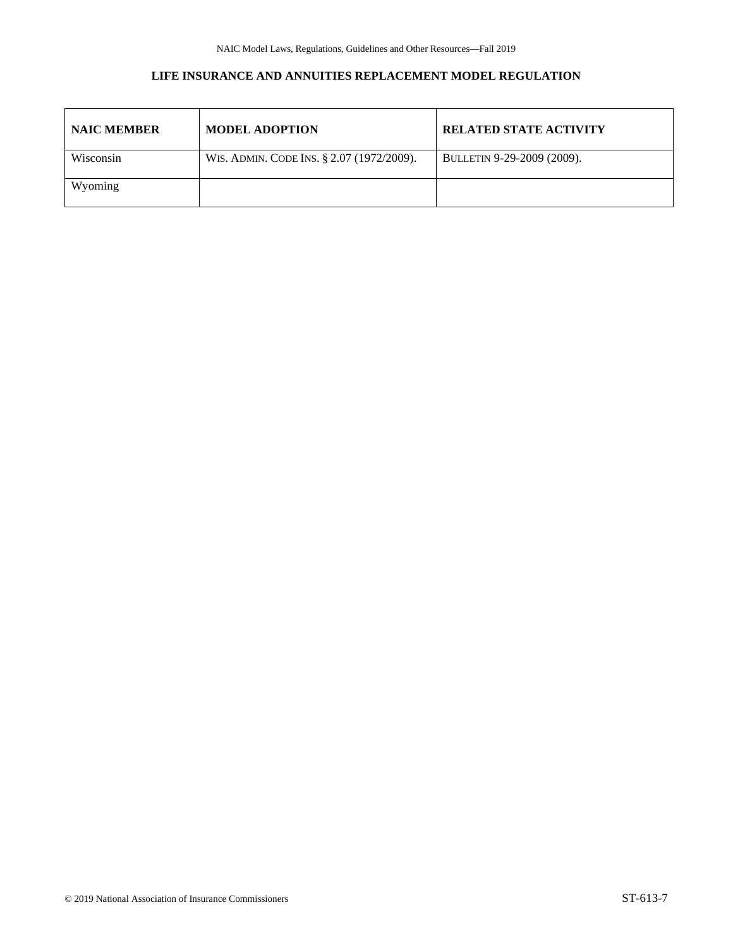| <b>NAIC MEMBER</b> | <b>MODEL ADOPTION</b>                     | <b>RELATED STATE ACTIVITY</b> |
|--------------------|-------------------------------------------|-------------------------------|
| Wisconsin          | WIS. ADMIN. CODE INS. § 2.07 (1972/2009). | BULLETIN 9-29-2009 (2009).    |
| Wyoming            |                                           |                               |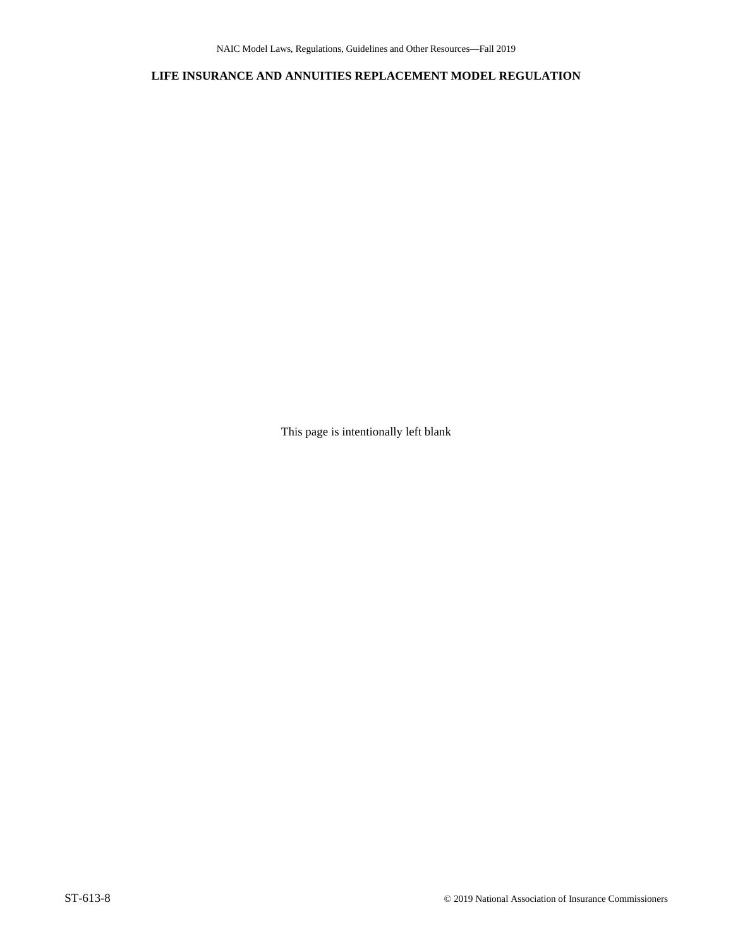This page is intentionally left blank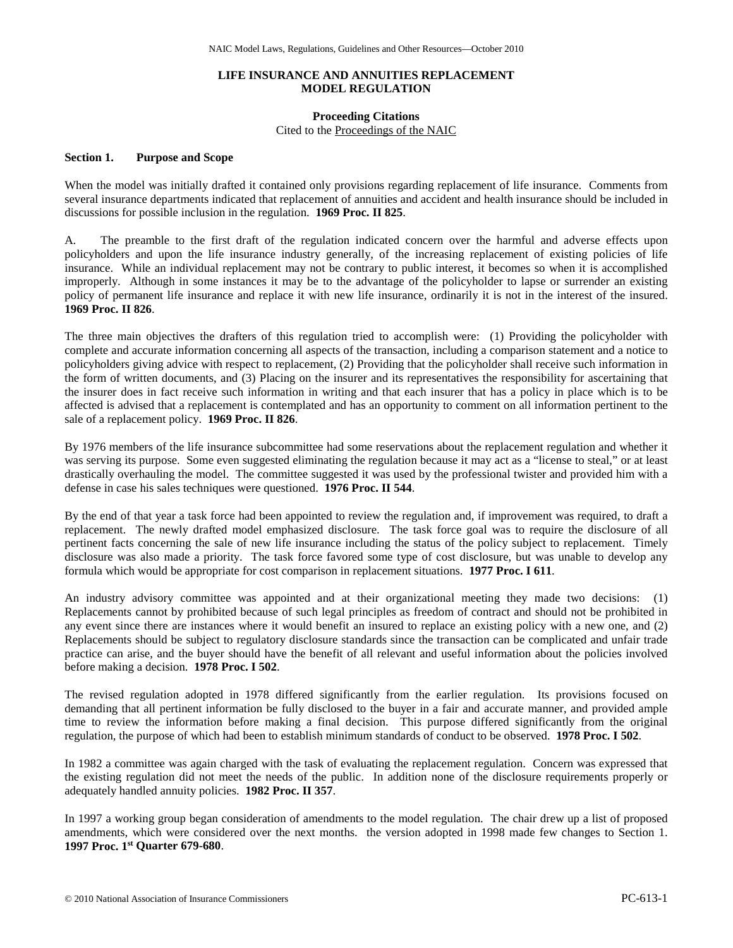#### **Proceeding Citations**

Cited to the Proceedings of the NAIC

#### **Section 1. Purpose and Scope**

When the model was initially drafted it contained only provisions regarding replacement of life insurance. Comments from several insurance departments indicated that replacement of annuities and accident and health insurance should be included in discussions for possible inclusion in the regulation. **1969 Proc. II 825**.

A. The preamble to the first draft of the regulation indicated concern over the harmful and adverse effects upon policyholders and upon the life insurance industry generally, of the increasing replacement of existing policies of life insurance. While an individual replacement may not be contrary to public interest, it becomes so when it is accomplished improperly. Although in some instances it may be to the advantage of the policyholder to lapse or surrender an existing policy of permanent life insurance and replace it with new life insurance, ordinarily it is not in the interest of the insured. **1969 Proc. II 826**.

The three main objectives the drafters of this regulation tried to accomplish were: (1) Providing the policyholder with complete and accurate information concerning all aspects of the transaction, including a comparison statement and a notice to policyholders giving advice with respect to replacement, (2) Providing that the policyholder shall receive such information in the form of written documents, and (3) Placing on the insurer and its representatives the responsibility for ascertaining that the insurer does in fact receive such information in writing and that each insurer that has a policy in place which is to be affected is advised that a replacement is contemplated and has an opportunity to comment on all information pertinent to the sale of a replacement policy. **1969 Proc. II 826**.

By 1976 members of the life insurance subcommittee had some reservations about the replacement regulation and whether it was serving its purpose. Some even suggested eliminating the regulation because it may act as a "license to steal," or at least drastically overhauling the model. The committee suggested it was used by the professional twister and provided him with a defense in case his sales techniques were questioned. **1976 Proc. II 544**.

By the end of that year a task force had been appointed to review the regulation and, if improvement was required, to draft a replacement. The newly drafted model emphasized disclosure. The task force goal was to require the disclosure of all pertinent facts concerning the sale of new life insurance including the status of the policy subject to replacement. Timely disclosure was also made a priority. The task force favored some type of cost disclosure, but was unable to develop any formula which would be appropriate for cost comparison in replacement situations. **1977 Proc. I 611**.

An industry advisory committee was appointed and at their organizational meeting they made two decisions: (1) Replacements cannot by prohibited because of such legal principles as freedom of contract and should not be prohibited in any event since there are instances where it would benefit an insured to replace an existing policy with a new one, and (2) Replacements should be subject to regulatory disclosure standards since the transaction can be complicated and unfair trade practice can arise, and the buyer should have the benefit of all relevant and useful information about the policies involved before making a decision. **1978 Proc. I 502**.

The revised regulation adopted in 1978 differed significantly from the earlier regulation. Its provisions focused on demanding that all pertinent information be fully disclosed to the buyer in a fair and accurate manner, and provided ample time to review the information before making a final decision. This purpose differed significantly from the original regulation, the purpose of which had been to establish minimum standards of conduct to be observed. **1978 Proc. I 502**.

In 1982 a committee was again charged with the task of evaluating the replacement regulation. Concern was expressed that the existing regulation did not meet the needs of the public. In addition none of the disclosure requirements properly or adequately handled annuity policies. **1982 Proc. II 357**.

In 1997 a working group began consideration of amendments to the model regulation. The chair drew up a list of proposed amendments, which were considered over the next months. the version adopted in 1998 made few changes to Section 1. **1997 Proc. 1st Quarter 679-680**.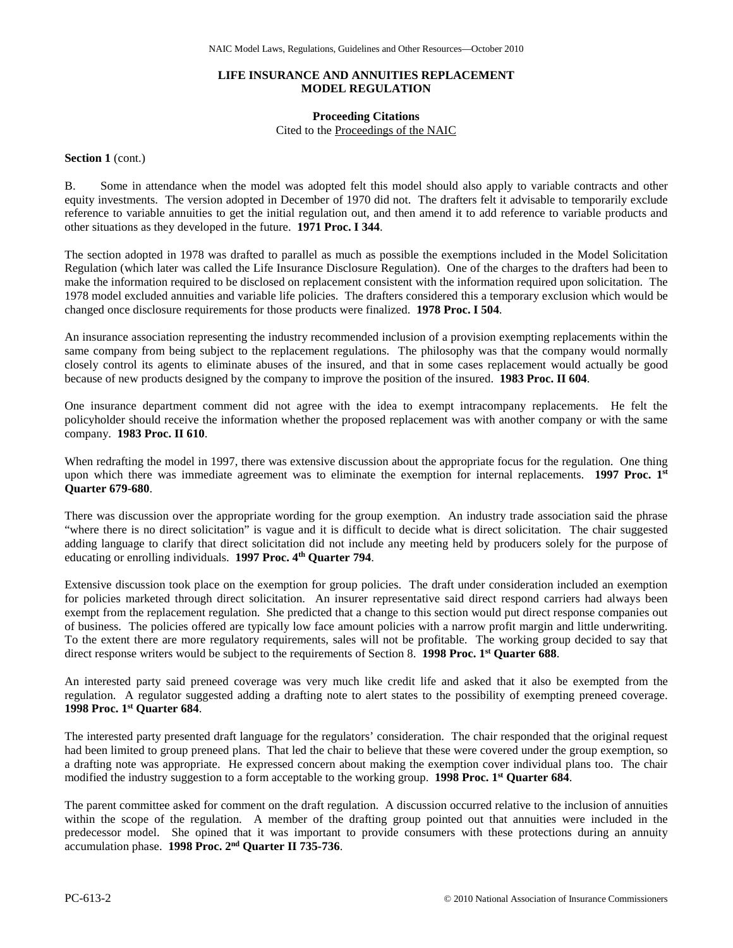### **Proceeding Citations**

Cited to the Proceedings of the NAIC

**Section 1** (cont.)

B. Some in attendance when the model was adopted felt this model should also apply to variable contracts and other equity investments. The version adopted in December of 1970 did not. The drafters felt it advisable to temporarily exclude reference to variable annuities to get the initial regulation out, and then amend it to add reference to variable products and other situations as they developed in the future. **1971 Proc. I 344**.

The section adopted in 1978 was drafted to parallel as much as possible the exemptions included in the Model Solicitation Regulation (which later was called the Life Insurance Disclosure Regulation). One of the charges to the drafters had been to make the information required to be disclosed on replacement consistent with the information required upon solicitation. The 1978 model excluded annuities and variable life policies. The drafters considered this a temporary exclusion which would be changed once disclosure requirements for those products were finalized. **1978 Proc. I 504**.

An insurance association representing the industry recommended inclusion of a provision exempting replacements within the same company from being subject to the replacement regulations. The philosophy was that the company would normally closely control its agents to eliminate abuses of the insured, and that in some cases replacement would actually be good because of new products designed by the company to improve the position of the insured. **1983 Proc. II 604**.

One insurance department comment did not agree with the idea to exempt intracompany replacements. He felt the policyholder should receive the information whether the proposed replacement was with another company or with the same company. **1983 Proc. II 610**.

When redrafting the model in 1997, there was extensive discussion about the appropriate focus for the regulation. One thing upon which there was immediate agreement was to eliminate the exemption for internal replacements. **1997 Proc. 1st Quarter 679-680**.

There was discussion over the appropriate wording for the group exemption. An industry trade association said the phrase "where there is no direct solicitation" is vague and it is difficult to decide what is direct solicitation. The chair suggested adding language to clarify that direct solicitation did not include any meeting held by producers solely for the purpose of educating or enrolling individuals. **1997 Proc. 4th Quarter 794**.

Extensive discussion took place on the exemption for group policies. The draft under consideration included an exemption for policies marketed through direct solicitation. An insurer representative said direct respond carriers had always been exempt from the replacement regulation. She predicted that a change to this section would put direct response companies out of business. The policies offered are typically low face amount policies with a narrow profit margin and little underwriting. To the extent there are more regulatory requirements, sales will not be profitable. The working group decided to say that direct response writers would be subject to the requirements of Section 8. **1998 Proc. 1st Quarter 688**.

An interested party said preneed coverage was very much like credit life and asked that it also be exempted from the regulation. A regulator suggested adding a drafting note to alert states to the possibility of exempting preneed coverage. **1998 Proc. 1st Quarter 684**.

The interested party presented draft language for the regulators' consideration. The chair responded that the original request had been limited to group preneed plans. That led the chair to believe that these were covered under the group exemption, so a drafting note was appropriate. He expressed concern about making the exemption cover individual plans too. The chair modified the industry suggestion to a form acceptable to the working group. **1998 Proc. 1st Quarter 684**.

The parent committee asked for comment on the draft regulation. A discussion occurred relative to the inclusion of annuities within the scope of the regulation. A member of the drafting group pointed out that annuities were included in the predecessor model. She opined that it was important to provide consumers with these protections during an annuity accumulation phase. **1998 Proc. 2nd Quarter II 735-736**.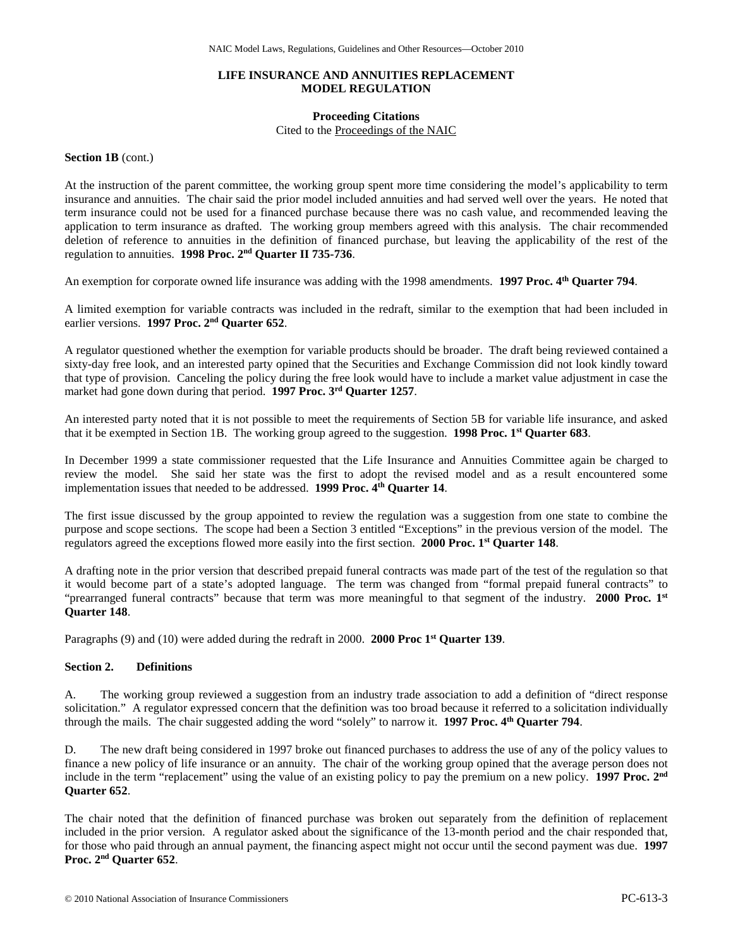### **Proceeding Citations**

Cited to the Proceedings of the NAIC

#### **Section 1B** (cont.)

At the instruction of the parent committee, the working group spent more time considering the model's applicability to term insurance and annuities. The chair said the prior model included annuities and had served well over the years. He noted that term insurance could not be used for a financed purchase because there was no cash value, and recommended leaving the application to term insurance as drafted. The working group members agreed with this analysis. The chair recommended deletion of reference to annuities in the definition of financed purchase, but leaving the applicability of the rest of the regulation to annuities. **1998 Proc. 2nd Quarter II 735-736**.

An exemption for corporate owned life insurance was adding with the 1998 amendments. **1997 Proc. 4th Quarter 794**.

A limited exemption for variable contracts was included in the redraft, similar to the exemption that had been included in earlier versions. **1997 Proc. 2nd Quarter 652**.

A regulator questioned whether the exemption for variable products should be broader. The draft being reviewed contained a sixty-day free look, and an interested party opined that the Securities and Exchange Commission did not look kindly toward that type of provision. Canceling the policy during the free look would have to include a market value adjustment in case the market had gone down during that period. **1997 Proc. 3rd Quarter 1257**.

An interested party noted that it is not possible to meet the requirements of Section 5B for variable life insurance, and asked that it be exempted in Section 1B. The working group agreed to the suggestion. **1998 Proc. 1st Quarter 683**.

In December 1999 a state commissioner requested that the Life Insurance and Annuities Committee again be charged to review the model. She said her state was the first to adopt the revised model and as a result encountered some implementation issues that needed to be addressed. **1999 Proc. 4th Quarter 14**.

The first issue discussed by the group appointed to review the regulation was a suggestion from one state to combine the purpose and scope sections. The scope had been a Section 3 entitled "Exceptions" in the previous version of the model. The regulators agreed the exceptions flowed more easily into the first section. **2000 Proc. 1st Quarter 148**.

A drafting note in the prior version that described prepaid funeral contracts was made part of the test of the regulation so that it would become part of a state's adopted language. The term was changed from "formal prepaid funeral contracts" to "prearranged funeral contracts" because that term was more meaningful to that segment of the industry. **2000 Proc. 1st Quarter 148**.

Paragraphs (9) and (10) were added during the redraft in 2000. **2000 Proc 1st Quarter 139**.

### **Section 2. Definitions**

A. The working group reviewed a suggestion from an industry trade association to add a definition of "direct response solicitation." A regulator expressed concern that the definition was too broad because it referred to a solicitation individually through the mails. The chair suggested adding the word "solely" to narrow it. **1997 Proc. 4th Quarter 794**.

D. The new draft being considered in 1997 broke out financed purchases to address the use of any of the policy values to finance a new policy of life insurance or an annuity. The chair of the working group opined that the average person does not include in the term "replacement" using the value of an existing policy to pay the premium on a new policy. **1997 Proc. 2nd Quarter 652**.

The chair noted that the definition of financed purchase was broken out separately from the definition of replacement included in the prior version. A regulator asked about the significance of the 13-month period and the chair responded that, for those who paid through an annual payment, the financing aspect might not occur until the second payment was due. **1997 Proc. 2nd Quarter 652**.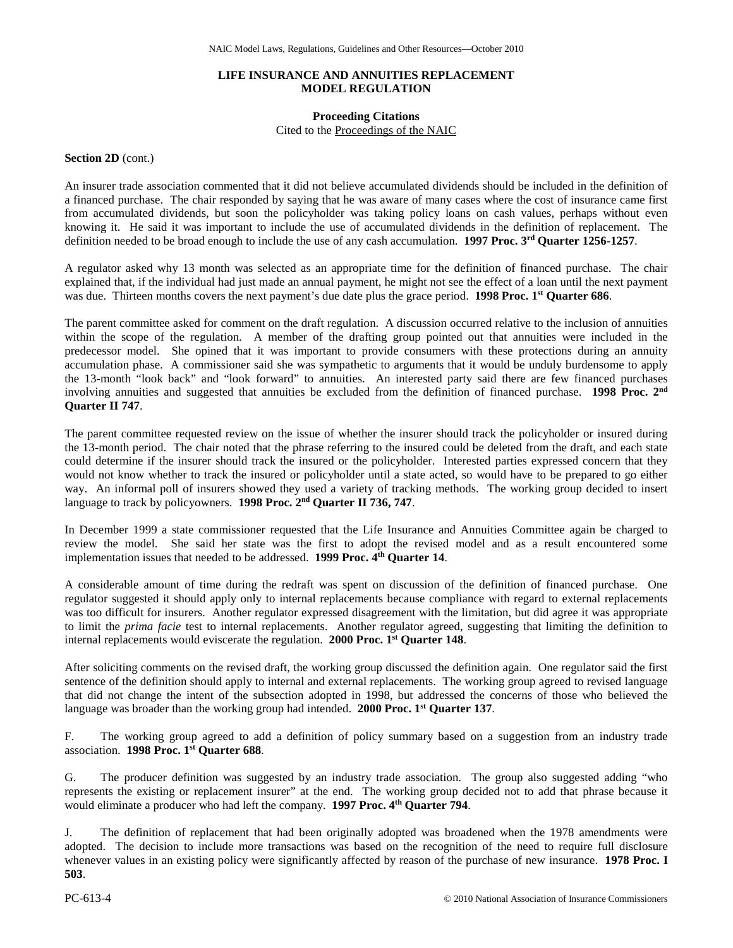# **Proceeding Citations**

Cited to the Proceedings of the NAIC

# **Section 2D** (cont.)

An insurer trade association commented that it did not believe accumulated dividends should be included in the definition of a financed purchase. The chair responded by saying that he was aware of many cases where the cost of insurance came first from accumulated dividends, but soon the policyholder was taking policy loans on cash values, perhaps without even knowing it. He said it was important to include the use of accumulated dividends in the definition of replacement. The definition needed to be broad enough to include the use of any cash accumulation. **1997 Proc. 3rd Quarter 1256-1257**.

A regulator asked why 13 month was selected as an appropriate time for the definition of financed purchase. The chair explained that, if the individual had just made an annual payment, he might not see the effect of a loan until the next payment was due. Thirteen months covers the next payment's due date plus the grace period. **1998 Proc. 1st Quarter 686**.

The parent committee asked for comment on the draft regulation. A discussion occurred relative to the inclusion of annuities within the scope of the regulation. A member of the drafting group pointed out that annuities were included in the predecessor model. She opined that it was important to provide consumers with these protections during an annuity accumulation phase. A commissioner said she was sympathetic to arguments that it would be unduly burdensome to apply the 13-month "look back" and "look forward" to annuities. An interested party said there are few financed purchases involving annuities and suggested that annuities be excluded from the definition of financed purchase. **1998 Proc. 2nd Quarter II 747**.

The parent committee requested review on the issue of whether the insurer should track the policyholder or insured during the 13-month period. The chair noted that the phrase referring to the insured could be deleted from the draft, and each state could determine if the insurer should track the insured or the policyholder. Interested parties expressed concern that they would not know whether to track the insured or policyholder until a state acted, so would have to be prepared to go either way. An informal poll of insurers showed they used a variety of tracking methods. The working group decided to insert language to track by policyowners. **1998 Proc. 2nd Quarter II 736, 747**.

In December 1999 a state commissioner requested that the Life Insurance and Annuities Committee again be charged to review the model. She said her state was the first to adopt the revised model and as a result encountered some implementation issues that needed to be addressed. **1999 Proc. 4th Quarter 14**.

A considerable amount of time during the redraft was spent on discussion of the definition of financed purchase. One regulator suggested it should apply only to internal replacements because compliance with regard to external replacements was too difficult for insurers. Another regulator expressed disagreement with the limitation, but did agree it was appropriate to limit the *prima facie* test to internal replacements. Another regulator agreed, suggesting that limiting the definition to internal replacements would eviscerate the regulation. **2000 Proc. 1st Quarter 148**.

After soliciting comments on the revised draft, the working group discussed the definition again. One regulator said the first sentence of the definition should apply to internal and external replacements. The working group agreed to revised language that did not change the intent of the subsection adopted in 1998, but addressed the concerns of those who believed the language was broader than the working group had intended. **2000 Proc. 1st Quarter 137**.

F. The working group agreed to add a definition of policy summary based on a suggestion from an industry trade association. **1998 Proc. 1st Quarter 688**.

G. The producer definition was suggested by an industry trade association. The group also suggested adding "who represents the existing or replacement insurer" at the end. The working group decided not to add that phrase because it would eliminate a producer who had left the company. **1997 Proc.** 4<sup>th</sup> Ouarter 794.

J. The definition of replacement that had been originally adopted was broadened when the 1978 amendments were adopted. The decision to include more transactions was based on the recognition of the need to require full disclosure whenever values in an existing policy were significantly affected by reason of the purchase of new insurance. **1978 Proc. I 503**.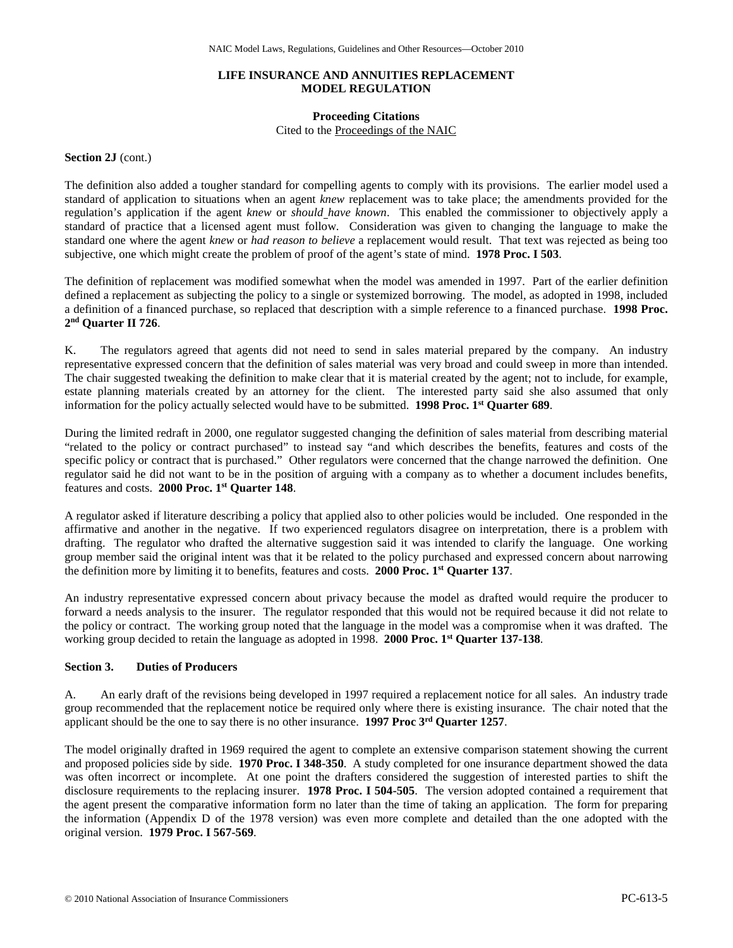# **Proceeding Citations**

Cited to the Proceedings of the NAIC

**Section 2J** (cont.)

The definition also added a tougher standard for compelling agents to comply with its provisions. The earlier model used a standard of application to situations when an agent *knew* replacement was to take place; the amendments provided for the regulation's application if the agent *knew* or *should have known*. This enabled the commissioner to objectively apply a standard of practice that a licensed agent must follow. Consideration was given to changing the language to make the standard one where the agent *knew* or *had reason to believe* a replacement would result. That text was rejected as being too subjective, one which might create the problem of proof of the agent's state of mind. **1978 Proc. I 503**.

The definition of replacement was modified somewhat when the model was amended in 1997. Part of the earlier definition defined a replacement as subjecting the policy to a single or systemized borrowing. The model, as adopted in 1998, included a definition of a financed purchase, so replaced that description with a simple reference to a financed purchase. **1998 Proc. 2nd Quarter II 726**.

K. The regulators agreed that agents did not need to send in sales material prepared by the company. An industry representative expressed concern that the definition of sales material was very broad and could sweep in more than intended. The chair suggested tweaking the definition to make clear that it is material created by the agent; not to include, for example, estate planning materials created by an attorney for the client. The interested party said she also assumed that only information for the policy actually selected would have to be submitted. **1998 Proc. 1st Quarter 689**.

During the limited redraft in 2000, one regulator suggested changing the definition of sales material from describing material "related to the policy or contract purchased" to instead say "and which describes the benefits, features and costs of the specific policy or contract that is purchased." Other regulators were concerned that the change narrowed the definition. One regulator said he did not want to be in the position of arguing with a company as to whether a document includes benefits, features and costs. **2000 Proc. 1st Quarter 148**.

A regulator asked if literature describing a policy that applied also to other policies would be included. One responded in the affirmative and another in the negative. If two experienced regulators disagree on interpretation, there is a problem with drafting. The regulator who drafted the alternative suggestion said it was intended to clarify the language. One working group member said the original intent was that it be related to the policy purchased and expressed concern about narrowing the definition more by limiting it to benefits, features and costs. **2000 Proc. 1st Quarter 137**.

An industry representative expressed concern about privacy because the model as drafted would require the producer to forward a needs analysis to the insurer. The regulator responded that this would not be required because it did not relate to the policy or contract. The working group noted that the language in the model was a compromise when it was drafted. The working group decided to retain the language as adopted in 1998. **2000 Proc. 1st Quarter 137-138**.

### **Section 3. Duties of Producers**

A. An early draft of the revisions being developed in 1997 required a replacement notice for all sales. An industry trade group recommended that the replacement notice be required only where there is existing insurance. The chair noted that the applicant should be the one to say there is no other insurance. **1997 Proc 3rd Quarter 1257**.

The model originally drafted in 1969 required the agent to complete an extensive comparison statement showing the current and proposed policies side by side. **1970 Proc. I 348-350**. A study completed for one insurance department showed the data was often incorrect or incomplete. At one point the drafters considered the suggestion of interested parties to shift the disclosure requirements to the replacing insurer. **1978 Proc. I 504-505**. The version adopted contained a requirement that the agent present the comparative information form no later than the time of taking an application. The form for preparing the information (Appendix D of the 1978 version) was even more complete and detailed than the one adopted with the original version. **1979 Proc. I 567-569**.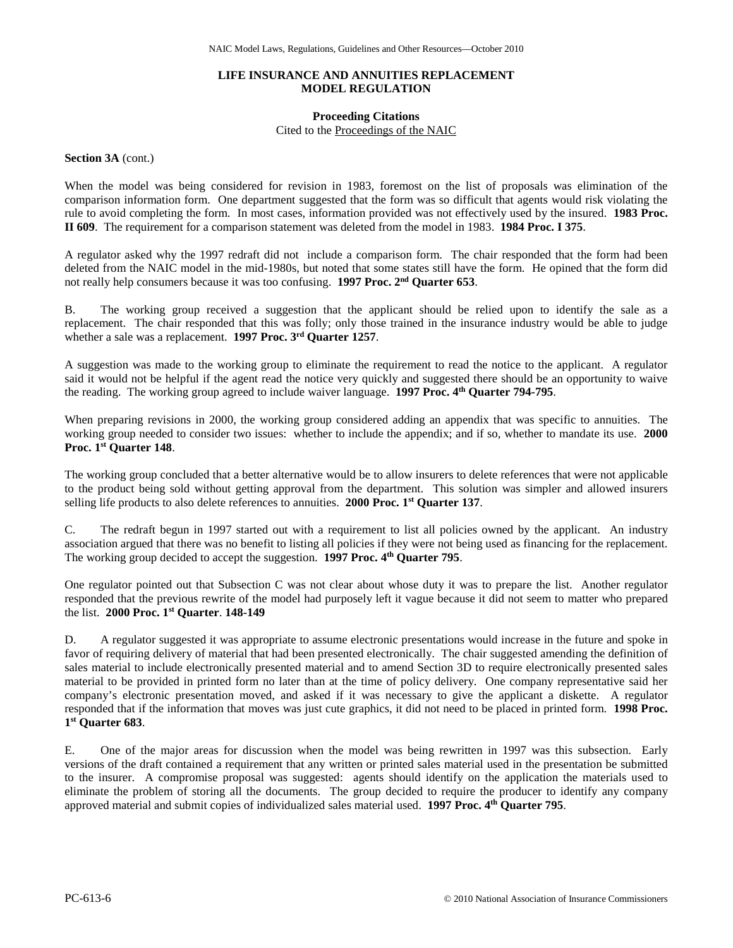### **Proceeding Citations**

Cited to the Proceedings of the NAIC

**Section 3A** (cont.)

When the model was being considered for revision in 1983, foremost on the list of proposals was elimination of the comparison information form. One department suggested that the form was so difficult that agents would risk violating the rule to avoid completing the form. In most cases, information provided was not effectively used by the insured. **1983 Proc. II 609**. The requirement for a comparison statement was deleted from the model in 1983. **1984 Proc. I 375**.

A regulator asked why the 1997 redraft did not include a comparison form. The chair responded that the form had been deleted from the NAIC model in the mid-1980s, but noted that some states still have the form. He opined that the form did not really help consumers because it was too confusing. **1997 Proc. 2nd Quarter 653**.

B. The working group received a suggestion that the applicant should be relied upon to identify the sale as a replacement. The chair responded that this was folly; only those trained in the insurance industry would be able to judge whether a sale was a replacement. **1997 Proc. 3rd Quarter 1257**.

A suggestion was made to the working group to eliminate the requirement to read the notice to the applicant. A regulator said it would not be helpful if the agent read the notice very quickly and suggested there should be an opportunity to waive the reading. The working group agreed to include waiver language. **1997 Proc. 4th Quarter 794-795**.

When preparing revisions in 2000, the working group considered adding an appendix that was specific to annuities. The working group needed to consider two issues: whether to include the appendix; and if so, whether to mandate its use. **2000 Proc. 1st Quarter 148**.

The working group concluded that a better alternative would be to allow insurers to delete references that were not applicable to the product being sold without getting approval from the department. This solution was simpler and allowed insurers selling life products to also delete references to annuities. **2000 Proc. 1st Quarter 137**.

C. The redraft begun in 1997 started out with a requirement to list all policies owned by the applicant. An industry association argued that there was no benefit to listing all policies if they were not being used as financing for the replacement. The working group decided to accept the suggestion. **1997 Proc. 4th Quarter 795**.

One regulator pointed out that Subsection C was not clear about whose duty it was to prepare the list. Another regulator responded that the previous rewrite of the model had purposely left it vague because it did not seem to matter who prepared the list. **2000 Proc. 1st Quarter**. **148-149**

D. A regulator suggested it was appropriate to assume electronic presentations would increase in the future and spoke in favor of requiring delivery of material that had been presented electronically. The chair suggested amending the definition of sales material to include electronically presented material and to amend Section 3D to require electronically presented sales material to be provided in printed form no later than at the time of policy delivery. One company representative said her company's electronic presentation moved, and asked if it was necessary to give the applicant a diskette. A regulator responded that if the information that moves was just cute graphics, it did not need to be placed in printed form. **1998 Proc. 1st Quarter 683**.

E. One of the major areas for discussion when the model was being rewritten in 1997 was this subsection. Early versions of the draft contained a requirement that any written or printed sales material used in the presentation be submitted to the insurer. A compromise proposal was suggested: agents should identify on the application the materials used to eliminate the problem of storing all the documents. The group decided to require the producer to identify any company approved material and submit copies of individualized sales material used. **1997 Proc. 4th Quarter 795**.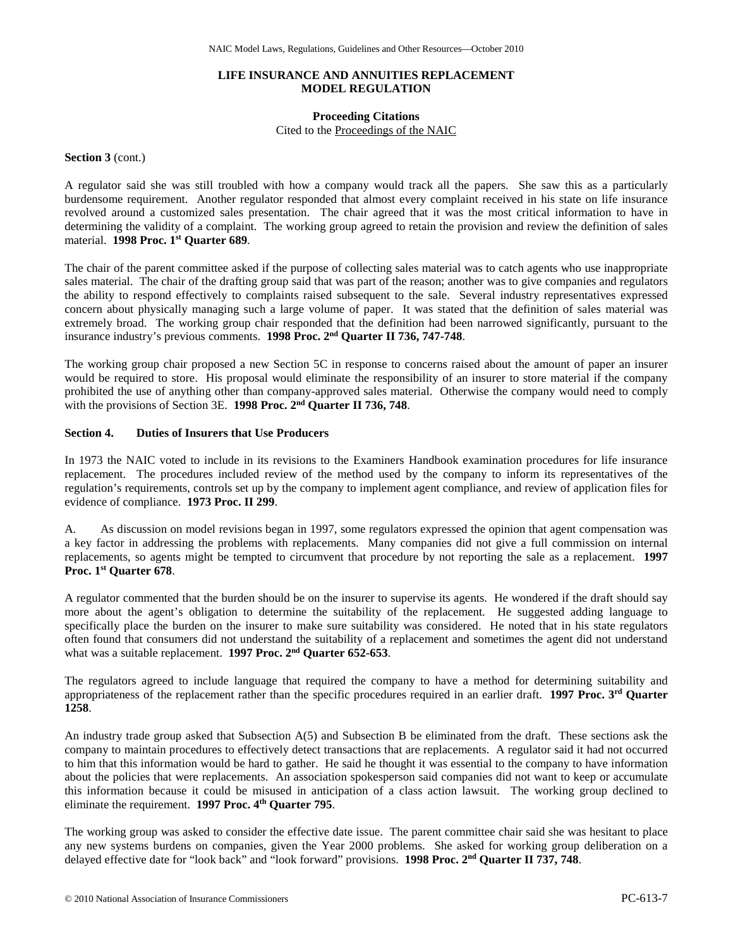### **Proceeding Citations**

Cited to the Proceedings of the NAIC

**Section 3** (cont.)

A regulator said she was still troubled with how a company would track all the papers. She saw this as a particularly burdensome requirement. Another regulator responded that almost every complaint received in his state on life insurance revolved around a customized sales presentation. The chair agreed that it was the most critical information to have in determining the validity of a complaint. The working group agreed to retain the provision and review the definition of sales material. **1998 Proc. 1st Quarter 689**.

The chair of the parent committee asked if the purpose of collecting sales material was to catch agents who use inappropriate sales material. The chair of the drafting group said that was part of the reason; another was to give companies and regulators the ability to respond effectively to complaints raised subsequent to the sale. Several industry representatives expressed concern about physically managing such a large volume of paper. It was stated that the definition of sales material was extremely broad. The working group chair responded that the definition had been narrowed significantly, pursuant to the insurance industry's previous comments. **1998 Proc. 2nd Quarter II 736, 747-748**.

The working group chair proposed a new Section 5C in response to concerns raised about the amount of paper an insurer would be required to store. His proposal would eliminate the responsibility of an insurer to store material if the company prohibited the use of anything other than company-approved sales material. Otherwise the company would need to comply with the provisions of Section 3E. **1998 Proc. 2nd Quarter II 736, 748**.

### **Section 4. Duties of Insurers that Use Producers**

In 1973 the NAIC voted to include in its revisions to the Examiners Handbook examination procedures for life insurance replacement. The procedures included review of the method used by the company to inform its representatives of the regulation's requirements, controls set up by the company to implement agent compliance, and review of application files for evidence of compliance. **1973 Proc. II 299**.

A. As discussion on model revisions began in 1997, some regulators expressed the opinion that agent compensation was a key factor in addressing the problems with replacements. Many companies did not give a full commission on internal replacements, so agents might be tempted to circumvent that procedure by not reporting the sale as a replacement. **1997 Proc. 1st Quarter 678**.

A regulator commented that the burden should be on the insurer to supervise its agents. He wondered if the draft should say more about the agent's obligation to determine the suitability of the replacement. He suggested adding language to specifically place the burden on the insurer to make sure suitability was considered. He noted that in his state regulators often found that consumers did not understand the suitability of a replacement and sometimes the agent did not understand what was a suitable replacement. **1997 Proc. 2nd Quarter 652-653**.

The regulators agreed to include language that required the company to have a method for determining suitability and appropriateness of the replacement rather than the specific procedures required in an earlier draft. **1997 Proc. 3rd Quarter 1258**.

An industry trade group asked that Subsection A(5) and Subsection B be eliminated from the draft. These sections ask the company to maintain procedures to effectively detect transactions that are replacements. A regulator said it had not occurred to him that this information would be hard to gather. He said he thought it was essential to the company to have information about the policies that were replacements. An association spokesperson said companies did not want to keep or accumulate this information because it could be misused in anticipation of a class action lawsuit. The working group declined to eliminate the requirement. **1997 Proc. 4th Quarter 795**.

The working group was asked to consider the effective date issue. The parent committee chair said she was hesitant to place any new systems burdens on companies, given the Year 2000 problems. She asked for working group deliberation on a delayed effective date for "look back" and "look forward" provisions. **1998 Proc. 2nd Quarter II 737, 748**.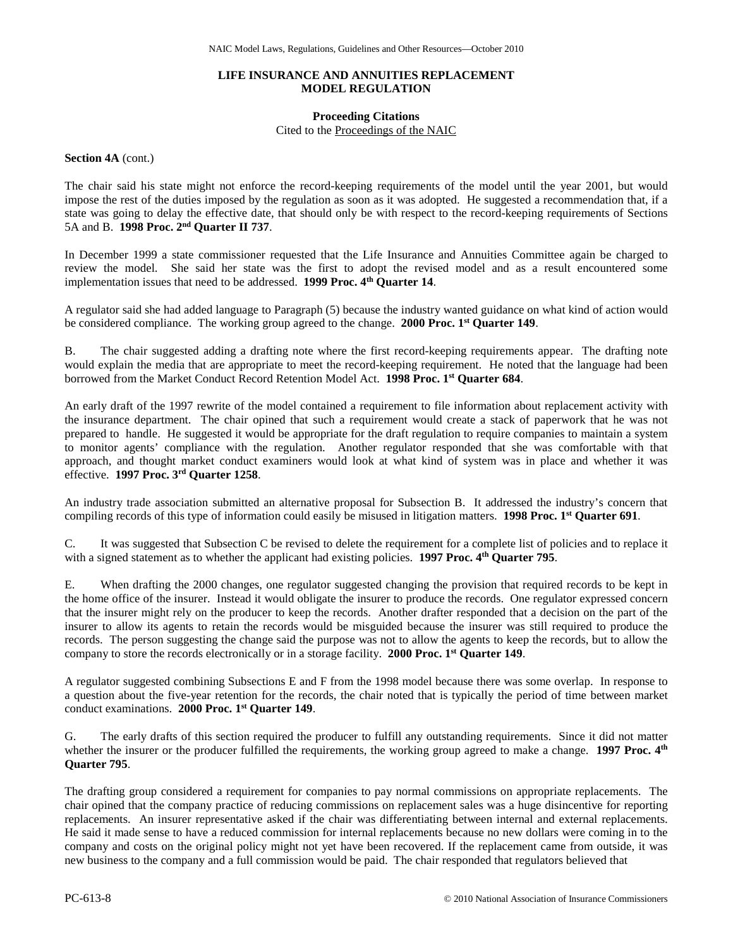#### **Proceeding Citations**

Cited to the Proceedings of the NAIC

**Section 4A** (cont.)

The chair said his state might not enforce the record-keeping requirements of the model until the year 2001, but would impose the rest of the duties imposed by the regulation as soon as it was adopted. He suggested a recommendation that, if a state was going to delay the effective date, that should only be with respect to the record-keeping requirements of Sections 5A and B. **1998 Proc. 2nd Quarter II 737**.

In December 1999 a state commissioner requested that the Life Insurance and Annuities Committee again be charged to review the model. She said her state was the first to adopt the revised model and as a result encountered some implementation issues that need to be addressed. **1999 Proc. 4th Quarter 14**.

A regulator said she had added language to Paragraph (5) because the industry wanted guidance on what kind of action would be considered compliance. The working group agreed to the change. **2000 Proc. 1st Quarter 149**.

B. The chair suggested adding a drafting note where the first record-keeping requirements appear. The drafting note would explain the media that are appropriate to meet the record-keeping requirement. He noted that the language had been borrowed from the Market Conduct Record Retention Model Act. **1998 Proc. 1st Quarter 684**.

An early draft of the 1997 rewrite of the model contained a requirement to file information about replacement activity with the insurance department. The chair opined that such a requirement would create a stack of paperwork that he was not prepared to handle. He suggested it would be appropriate for the draft regulation to require companies to maintain a system to monitor agents' compliance with the regulation. Another regulator responded that she was comfortable with that approach, and thought market conduct examiners would look at what kind of system was in place and whether it was effective. **1997 Proc. 3rd Quarter 1258**.

An industry trade association submitted an alternative proposal for Subsection B. It addressed the industry's concern that compiling records of this type of information could easily be misused in litigation matters. **1998 Proc. 1st Quarter 691**.

C. It was suggested that Subsection C be revised to delete the requirement for a complete list of policies and to replace it with a signed statement as to whether the applicant had existing policies. **1997 Proc. 4th Quarter 795**.

E. When drafting the 2000 changes, one regulator suggested changing the provision that required records to be kept in the home office of the insurer. Instead it would obligate the insurer to produce the records. One regulator expressed concern that the insurer might rely on the producer to keep the records. Another drafter responded that a decision on the part of the insurer to allow its agents to retain the records would be misguided because the insurer was still required to produce the records. The person suggesting the change said the purpose was not to allow the agents to keep the records, but to allow the company to store the records electronically or in a storage facility. **2000 Proc. 1st Quarter 149**.

A regulator suggested combining Subsections E and F from the 1998 model because there was some overlap. In response to a question about the five-year retention for the records, the chair noted that is typically the period of time between market conduct examinations. **2000 Proc. 1st Quarter 149**.

G. The early drafts of this section required the producer to fulfill any outstanding requirements. Since it did not matter whether the insurer or the producer fulfilled the requirements, the working group agreed to make a change. **1997 Proc. 4th Quarter 795**.

The drafting group considered a requirement for companies to pay normal commissions on appropriate replacements. The chair opined that the company practice of reducing commissions on replacement sales was a huge disincentive for reporting replacements. An insurer representative asked if the chair was differentiating between internal and external replacements. He said it made sense to have a reduced commission for internal replacements because no new dollars were coming in to the company and costs on the original policy might not yet have been recovered. If the replacement came from outside, it was new business to the company and a full commission would be paid. The chair responded that regulators believed that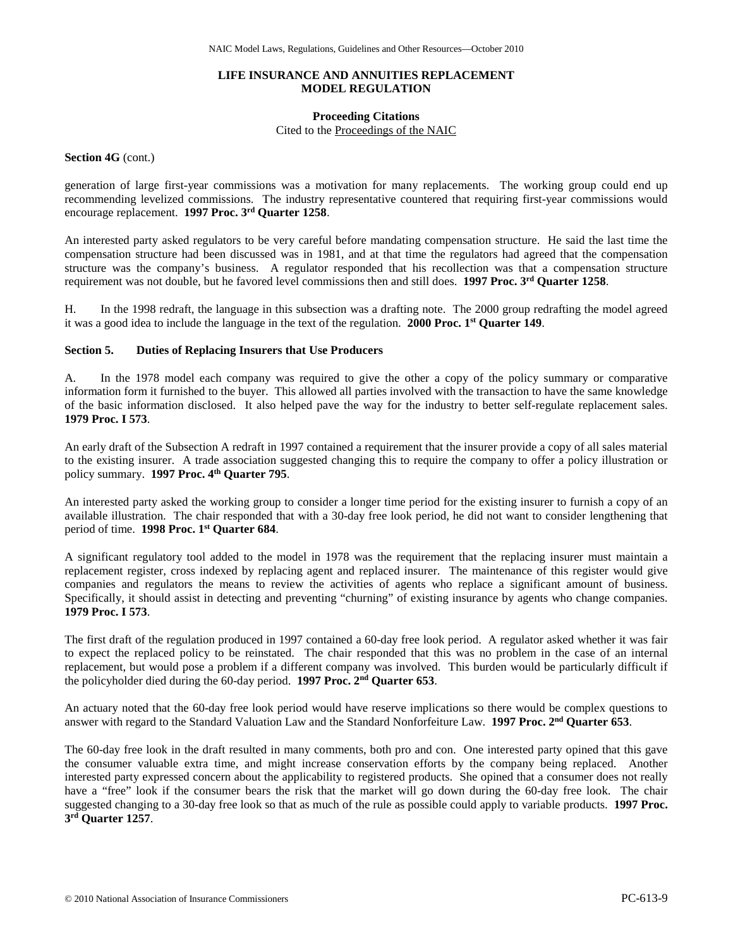#### **Proceeding Citations**

Cited to the Proceedings of the NAIC

**Section 4G** (cont.)

generation of large first-year commissions was a motivation for many replacements. The working group could end up recommending levelized commissions. The industry representative countered that requiring first-year commissions would encourage replacement. **1997 Proc. 3rd Quarter 1258**.

An interested party asked regulators to be very careful before mandating compensation structure. He said the last time the compensation structure had been discussed was in 1981, and at that time the regulators had agreed that the compensation structure was the company's business. A regulator responded that his recollection was that a compensation structure requirement was not double, but he favored level commissions then and still does. **1997 Proc. 3rd Quarter 1258**.

H. In the 1998 redraft, the language in this subsection was a drafting note. The 2000 group redrafting the model agreed it was a good idea to include the language in the text of the regulation. **2000 Proc. 1st Quarter 149**.

### **Section 5. Duties of Replacing Insurers that Use Producers**

A. In the 1978 model each company was required to give the other a copy of the policy summary or comparative information form it furnished to the buyer. This allowed all parties involved with the transaction to have the same knowledge of the basic information disclosed. It also helped pave the way for the industry to better self-regulate replacement sales. **1979 Proc. I 573**.

An early draft of the Subsection A redraft in 1997 contained a requirement that the insurer provide a copy of all sales material to the existing insurer. A trade association suggested changing this to require the company to offer a policy illustration or policy summary. **1997 Proc. 4th Quarter 795**.

An interested party asked the working group to consider a longer time period for the existing insurer to furnish a copy of an available illustration. The chair responded that with a 30-day free look period, he did not want to consider lengthening that period of time. **1998 Proc. 1st Quarter 684**.

A significant regulatory tool added to the model in 1978 was the requirement that the replacing insurer must maintain a replacement register, cross indexed by replacing agent and replaced insurer. The maintenance of this register would give companies and regulators the means to review the activities of agents who replace a significant amount of business. Specifically, it should assist in detecting and preventing "churning" of existing insurance by agents who change companies. **1979 Proc. I 573**.

The first draft of the regulation produced in 1997 contained a 60-day free look period. A regulator asked whether it was fair to expect the replaced policy to be reinstated. The chair responded that this was no problem in the case of an internal replacement, but would pose a problem if a different company was involved. This burden would be particularly difficult if the policyholder died during the 60-day period. **1997 Proc. 2nd Quarter 653**.

An actuary noted that the 60-day free look period would have reserve implications so there would be complex questions to answer with regard to the Standard Valuation Law and the Standard Nonforfeiture Law. **1997 Proc. 2nd Quarter 653**.

The 60-day free look in the draft resulted in many comments, both pro and con. One interested party opined that this gave the consumer valuable extra time, and might increase conservation efforts by the company being replaced. Another interested party expressed concern about the applicability to registered products. She opined that a consumer does not really have a "free" look if the consumer bears the risk that the market will go down during the 60-day free look. The chair suggested changing to a 30-day free look so that as much of the rule as possible could apply to variable products. **1997 Proc. 3rd Quarter 1257**.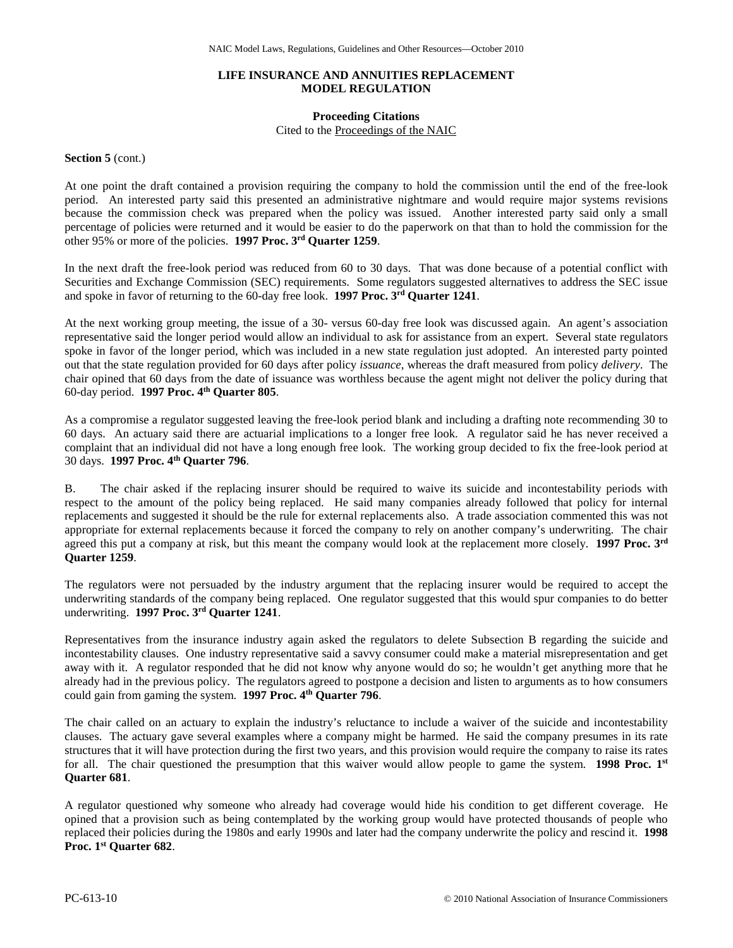### **Proceeding Citations**

Cited to the Proceedings of the NAIC

**Section 5** (cont.)

At one point the draft contained a provision requiring the company to hold the commission until the end of the free-look period. An interested party said this presented an administrative nightmare and would require major systems revisions because the commission check was prepared when the policy was issued. Another interested party said only a small percentage of policies were returned and it would be easier to do the paperwork on that than to hold the commission for the other 95% or more of the policies. **1997 Proc. 3rd Quarter 1259**.

In the next draft the free-look period was reduced from 60 to 30 days. That was done because of a potential conflict with Securities and Exchange Commission (SEC) requirements. Some regulators suggested alternatives to address the SEC issue and spoke in favor of returning to the 60-day free look. **1997 Proc. 3rd Quarter 1241**.

At the next working group meeting, the issue of a 30- versus 60-day free look was discussed again. An agent's association representative said the longer period would allow an individual to ask for assistance from an expert. Several state regulators spoke in favor of the longer period, which was included in a new state regulation just adopted. An interested party pointed out that the state regulation provided for 60 days after policy *issuance*, whereas the draft measured from policy *delivery*. The chair opined that 60 days from the date of issuance was worthless because the agent might not deliver the policy during that 60-day period. **1997 Proc. 4th Quarter 805**.

As a compromise a regulator suggested leaving the free-look period blank and including a drafting note recommending 30 to 60 days. An actuary said there are actuarial implications to a longer free look. A regulator said he has never received a complaint that an individual did not have a long enough free look. The working group decided to fix the free-look period at 30 days. **1997 Proc. 4th Quarter 796**.

B. The chair asked if the replacing insurer should be required to waive its suicide and incontestability periods with respect to the amount of the policy being replaced. He said many companies already followed that policy for internal replacements and suggested it should be the rule for external replacements also. A trade association commented this was not appropriate for external replacements because it forced the company to rely on another company's underwriting. The chair agreed this put a company at risk, but this meant the company would look at the replacement more closely. **1997 Proc. 3rd Quarter 1259**.

The regulators were not persuaded by the industry argument that the replacing insurer would be required to accept the underwriting standards of the company being replaced. One regulator suggested that this would spur companies to do better underwriting. **1997 Proc. 3rd Quarter 1241**.

Representatives from the insurance industry again asked the regulators to delete Subsection B regarding the suicide and incontestability clauses. One industry representative said a savvy consumer could make a material misrepresentation and get away with it. A regulator responded that he did not know why anyone would do so; he wouldn't get anything more that he already had in the previous policy. The regulators agreed to postpone a decision and listen to arguments as to how consumers could gain from gaming the system. **1997 Proc. 4th Quarter 796**.

The chair called on an actuary to explain the industry's reluctance to include a waiver of the suicide and incontestability clauses. The actuary gave several examples where a company might be harmed. He said the company presumes in its rate structures that it will have protection during the first two years, and this provision would require the company to raise its rates for all. The chair questioned the presumption that this waiver would allow people to game the system. **1998 Proc. 1st Quarter 681**.

A regulator questioned why someone who already had coverage would hide his condition to get different coverage. He opined that a provision such as being contemplated by the working group would have protected thousands of people who replaced their policies during the 1980s and early 1990s and later had the company underwrite the policy and rescind it. **1998 Proc. 1st Quarter 682**.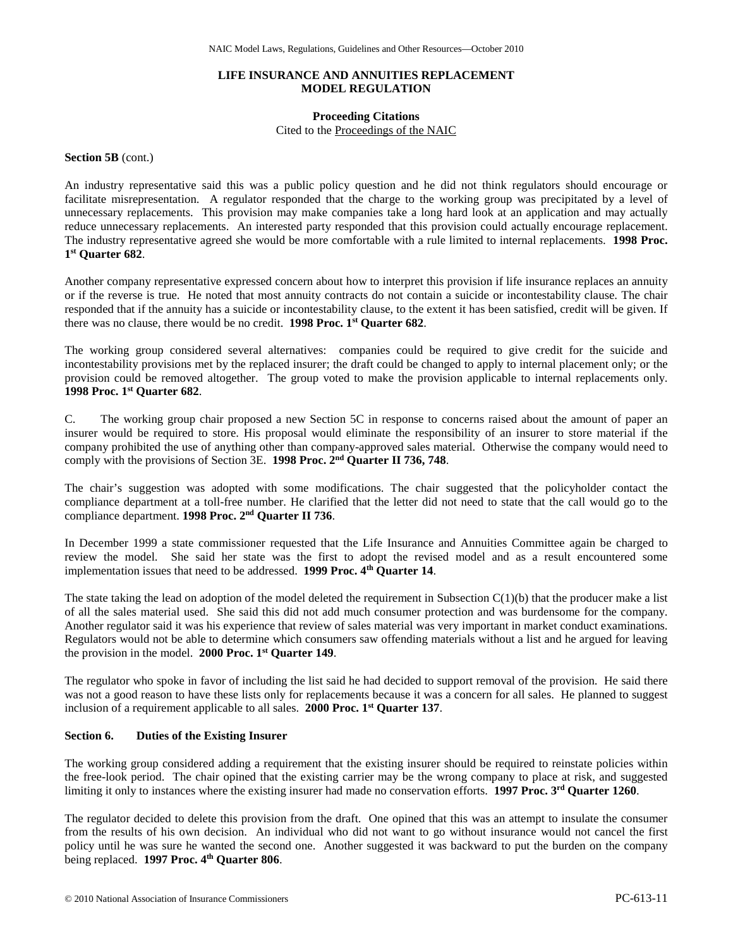### **Proceeding Citations**

Cited to the Proceedings of the NAIC

**Section 5B** (cont.)

An industry representative said this was a public policy question and he did not think regulators should encourage or facilitate misrepresentation. A regulator responded that the charge to the working group was precipitated by a level of unnecessary replacements. This provision may make companies take a long hard look at an application and may actually reduce unnecessary replacements. An interested party responded that this provision could actually encourage replacement. The industry representative agreed she would be more comfortable with a rule limited to internal replacements. **1998 Proc. 1st Quarter 682**.

Another company representative expressed concern about how to interpret this provision if life insurance replaces an annuity or if the reverse is true. He noted that most annuity contracts do not contain a suicide or incontestability clause. The chair responded that if the annuity has a suicide or incontestability clause, to the extent it has been satisfied, credit will be given. If there was no clause, there would be no credit. **1998 Proc. 1st Quarter 682**.

The working group considered several alternatives: companies could be required to give credit for the suicide and incontestability provisions met by the replaced insurer; the draft could be changed to apply to internal placement only; or the provision could be removed altogether. The group voted to make the provision applicable to internal replacements only. **1998 Proc. 1st Quarter 682**.

C. The working group chair proposed a new Section 5C in response to concerns raised about the amount of paper an insurer would be required to store. His proposal would eliminate the responsibility of an insurer to store material if the company prohibited the use of anything other than company-approved sales material. Otherwise the company would need to comply with the provisions of Section 3E. **1998 Proc. 2nd Quarter II 736, 748**.

The chair's suggestion was adopted with some modifications. The chair suggested that the policyholder contact the compliance department at a toll-free number. He clarified that the letter did not need to state that the call would go to the compliance department. **1998 Proc. 2nd Quarter II 736**.

In December 1999 a state commissioner requested that the Life Insurance and Annuities Committee again be charged to review the model. She said her state was the first to adopt the revised model and as a result encountered some implementation issues that need to be addressed. **1999 Proc. 4th Quarter 14**.

The state taking the lead on adoption of the model deleted the requirement in Subsection  $C(1)(b)$  that the producer make a list of all the sales material used. She said this did not add much consumer protection and was burdensome for the company. Another regulator said it was his experience that review of sales material was very important in market conduct examinations. Regulators would not be able to determine which consumers saw offending materials without a list and he argued for leaving the provision in the model. **2000 Proc. 1st Quarter 149**.

The regulator who spoke in favor of including the list said he had decided to support removal of the provision. He said there was not a good reason to have these lists only for replacements because it was a concern for all sales. He planned to suggest inclusion of a requirement applicable to all sales. **2000 Proc. 1st Quarter 137**.

### **Section 6. Duties of the Existing Insurer**

The working group considered adding a requirement that the existing insurer should be required to reinstate policies within the free-look period. The chair opined that the existing carrier may be the wrong company to place at risk, and suggested limiting it only to instances where the existing insurer had made no conservation efforts. **1997 Proc. 3rd Quarter 1260**.

The regulator decided to delete this provision from the draft. One opined that this was an attempt to insulate the consumer from the results of his own decision. An individual who did not want to go without insurance would not cancel the first policy until he was sure he wanted the second one. Another suggested it was backward to put the burden on the company being replaced. **1997 Proc. 4th Quarter 806**.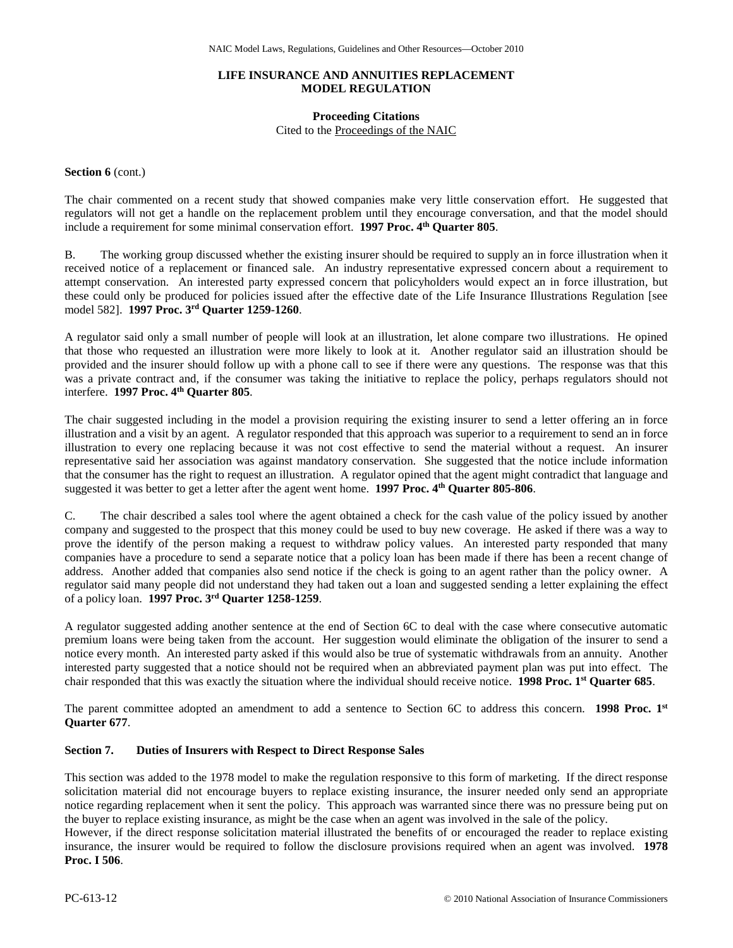#### **Proceeding Citations** Cited to the Proceedings of the NAIC

## **Section 6** (cont.)

The chair commented on a recent study that showed companies make very little conservation effort. He suggested that regulators will not get a handle on the replacement problem until they encourage conversation, and that the model should include a requirement for some minimal conservation effort. **1997 Proc. 4th Quarter 805**.

B. The working group discussed whether the existing insurer should be required to supply an in force illustration when it received notice of a replacement or financed sale. An industry representative expressed concern about a requirement to attempt conservation. An interested party expressed concern that policyholders would expect an in force illustration, but these could only be produced for policies issued after the effective date of the Life Insurance Illustrations Regulation [see model 582]. **1997 Proc. 3rd Quarter 1259-1260**.

A regulator said only a small number of people will look at an illustration, let alone compare two illustrations. He opined that those who requested an illustration were more likely to look at it. Another regulator said an illustration should be provided and the insurer should follow up with a phone call to see if there were any questions. The response was that this was a private contract and, if the consumer was taking the initiative to replace the policy, perhaps regulators should not interfere. **1997 Proc. 4th Quarter 805**.

The chair suggested including in the model a provision requiring the existing insurer to send a letter offering an in force illustration and a visit by an agent. A regulator responded that this approach was superior to a requirement to send an in force illustration to every one replacing because it was not cost effective to send the material without a request. An insurer representative said her association was against mandatory conservation. She suggested that the notice include information that the consumer has the right to request an illustration. A regulator opined that the agent might contradict that language and suggested it was better to get a letter after the agent went home. **1997 Proc. 4th Quarter 805-806**.

C. The chair described a sales tool where the agent obtained a check for the cash value of the policy issued by another company and suggested to the prospect that this money could be used to buy new coverage. He asked if there was a way to prove the identify of the person making a request to withdraw policy values. An interested party responded that many companies have a procedure to send a separate notice that a policy loan has been made if there has been a recent change of address. Another added that companies also send notice if the check is going to an agent rather than the policy owner. A regulator said many people did not understand they had taken out a loan and suggested sending a letter explaining the effect of a policy loan. **1997 Proc. 3rd Quarter 1258-1259**.

A regulator suggested adding another sentence at the end of Section 6C to deal with the case where consecutive automatic premium loans were being taken from the account. Her suggestion would eliminate the obligation of the insurer to send a notice every month. An interested party asked if this would also be true of systematic withdrawals from an annuity. Another interested party suggested that a notice should not be required when an abbreviated payment plan was put into effect. The chair responded that this was exactly the situation where the individual should receive notice. **1998 Proc. 1st Quarter 685**.

The parent committee adopted an amendment to add a sentence to Section 6C to address this concern. **1998 Proc. 1st Quarter 677**.

### **Section 7. Duties of Insurers with Respect to Direct Response Sales**

This section was added to the 1978 model to make the regulation responsive to this form of marketing. If the direct response solicitation material did not encourage buyers to replace existing insurance, the insurer needed only send an appropriate notice regarding replacement when it sent the policy. This approach was warranted since there was no pressure being put on the buyer to replace existing insurance, as might be the case when an agent was involved in the sale of the policy.

However, if the direct response solicitation material illustrated the benefits of or encouraged the reader to replace existing insurance, the insurer would be required to follow the disclosure provisions required when an agent was involved. **1978 Proc. I 506**.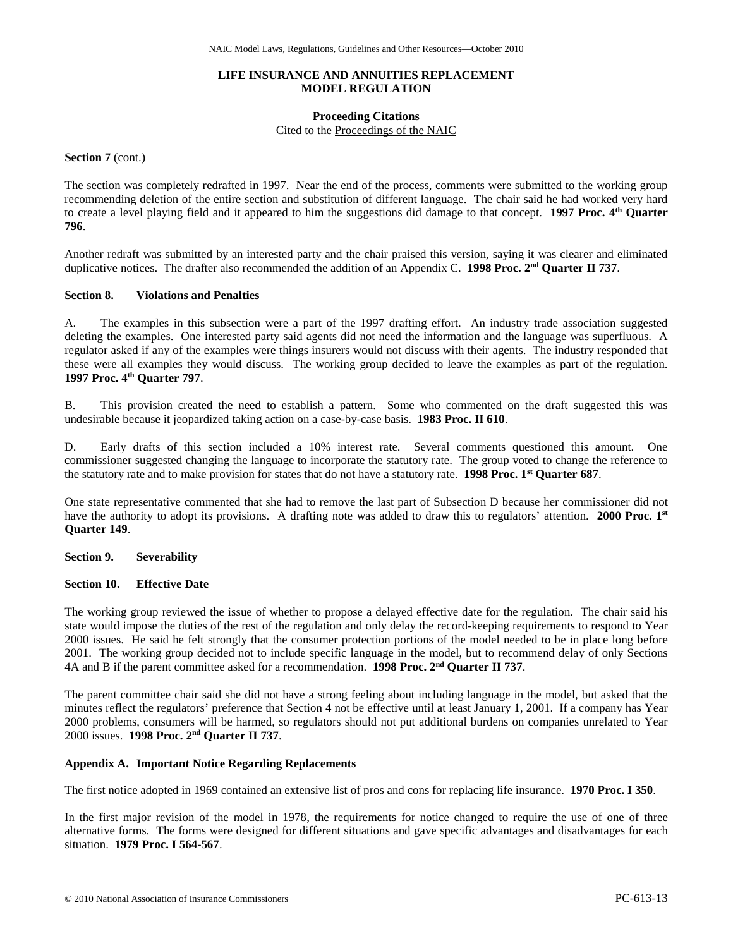### **Proceeding Citations**

Cited to the Proceedings of the NAIC

**Section 7** (cont.)

The section was completely redrafted in 1997. Near the end of the process, comments were submitted to the working group recommending deletion of the entire section and substitution of different language. The chair said he had worked very hard to create a level playing field and it appeared to him the suggestions did damage to that concept. **1997 Proc. 4th Quarter 796**.

Another redraft was submitted by an interested party and the chair praised this version, saying it was clearer and eliminated duplicative notices. The drafter also recommended the addition of an Appendix C. **1998 Proc. 2nd Quarter II 737**.

### **Section 8. Violations and Penalties**

A. The examples in this subsection were a part of the 1997 drafting effort. An industry trade association suggested deleting the examples. One interested party said agents did not need the information and the language was superfluous. A regulator asked if any of the examples were things insurers would not discuss with their agents. The industry responded that these were all examples they would discuss. The working group decided to leave the examples as part of the regulation. **1997 Proc. 4th Quarter 797**.

B. This provision created the need to establish a pattern. Some who commented on the draft suggested this was undesirable because it jeopardized taking action on a case-by-case basis. **1983 Proc. II 610**.

D. Early drafts of this section included a 10% interest rate. Several comments questioned this amount. One commissioner suggested changing the language to incorporate the statutory rate. The group voted to change the reference to the statutory rate and to make provision for states that do not have a statutory rate. **1998 Proc. 1st Quarter 687**.

One state representative commented that she had to remove the last part of Subsection D because her commissioner did not have the authority to adopt its provisions. A drafting note was added to draw this to regulators' attention. **2000 Proc. 1st Quarter 149**.

### **Section 9. Severability**

### **Section 10. Effective Date**

The working group reviewed the issue of whether to propose a delayed effective date for the regulation. The chair said his state would impose the duties of the rest of the regulation and only delay the record-keeping requirements to respond to Year 2000 issues. He said he felt strongly that the consumer protection portions of the model needed to be in place long before 2001. The working group decided not to include specific language in the model, but to recommend delay of only Sections 4A and B if the parent committee asked for a recommendation. **1998 Proc. 2nd Quarter II 737**.

The parent committee chair said she did not have a strong feeling about including language in the model, but asked that the minutes reflect the regulators' preference that Section 4 not be effective until at least January 1, 2001. If a company has Year 2000 problems, consumers will be harmed, so regulators should not put additional burdens on companies unrelated to Year 2000 issues. **1998 Proc. 2nd Quarter II 737**.

### **Appendix A. Important Notice Regarding Replacements**

The first notice adopted in 1969 contained an extensive list of pros and cons for replacing life insurance. **1970 Proc. I 350**.

In the first major revision of the model in 1978, the requirements for notice changed to require the use of one of three alternative forms. The forms were designed for different situations and gave specific advantages and disadvantages for each situation. **1979 Proc. I 564-567**.